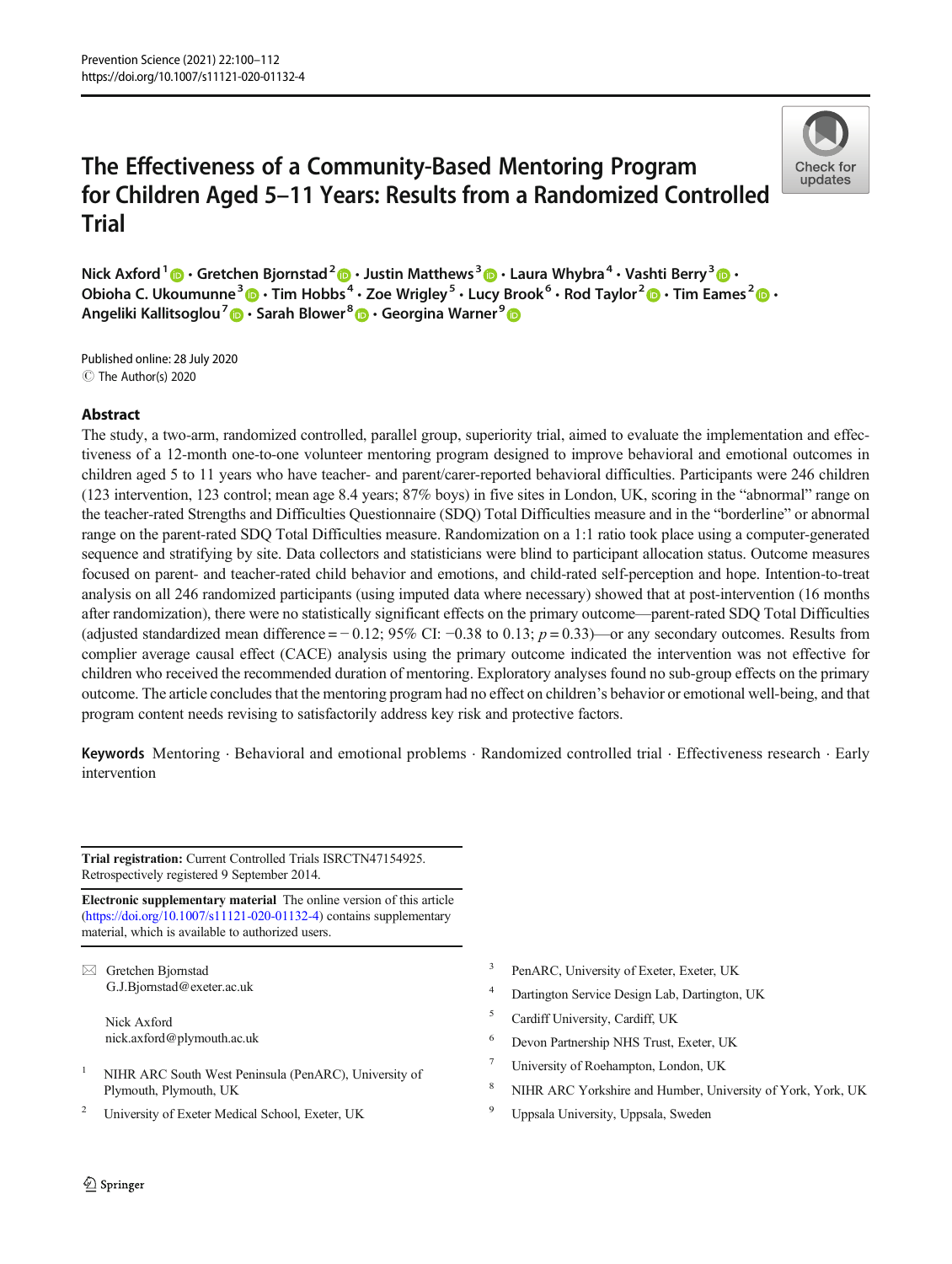# The Effectiveness of a Community-Based Mentoring Program for Children Aged 5–11 Years: Results from a Randomized Controlled **Trial**



Nick Axford  $1\text{ m}$  Gretchen Bjornstad  $2\text{ m}$  Justin Matthews  $3\text{ m}$  Laura Whybra  $4\cdot$  Vashti Berry  $3\text{ m}$  . Obioha C. Ukoumunne<sup>3</sup>  $\cdot$  Tim Hobbs<sup>4</sup>  $\cdot$  Zoe Wrigley<sup>5</sup>  $\cdot$  Lucy Brook<sup>6</sup>  $\cdot$  Rod Taylor<sup>2</sup>  $\cdot$  Tim Eames<sup>2</sup>  $\cdot$  T Angeliki Kallitsoglou<sup>7</sup> **D** · Sarah Blower<sup>8</sup> D · Georgina Warner<sup>9</sup> D

C The Author(s) 2020 Published online: 28 July 2020

## Abstract

The study, a two-arm, randomized controlled, parallel group, superiority trial, aimed to evaluate the implementation and effectiveness of a 12-month one-to-one volunteer mentoring program designed to improve behavioral and emotional outcomes in children aged 5 to 11 years who have teacher- and parent/carer-reported behavioral difficulties. Participants were 246 children (123 intervention, 123 control; mean age 8.4 years; 87% boys) in five sites in London, UK, scoring in the "abnormal" range on the teacher-rated Strengths and Difficulties Questionnaire (SDQ) Total Difficulties measure and in the "borderline" or abnormal range on the parent-rated SDQ Total Difficulties measure. Randomization on a 1:1 ratio took place using a computer-generated sequence and stratifying by site. Data collectors and statisticians were blind to participant allocation status. Outcome measures focused on parent- and teacher-rated child behavior and emotions, and child-rated self-perception and hope. Intention-to-treat analysis on all 246 randomized participants (using imputed data where necessary) showed that at post-intervention (16 months after randomization), there were no statistically significant effects on the primary outcome—parent-rated SDQ Total Difficulties (adjusted standardized mean difference =  $-0.12$ ; 95% CI:  $-0.38$  to 0.13;  $p = 0.33$ )—or any secondary outcomes. Results from complier average causal effect (CACE) analysis using the primary outcome indicated the intervention was not effective for children who received the recommended duration of mentoring. Exploratory analyses found no sub-group effects on the primary outcome. The article concludes that the mentoring program had no effect on children's behavior or emotional well-being, and that program content needs revising to satisfactorily address key risk and protective factors.

Keywords Mentoring . Behavioral and emotional problems . Randomized controlled trial . Effectiveness research . Early intervention

Trial registration: Current Controlled Trials ISRCTN47154925. Retrospectively registered 9 September 2014.

Electronic supplementary material The online version of this article ([https://doi.org/10.1007/s11121-020-01132-4\)](https://doi.org/10.1007/s11121-020-01132-4) contains supplementary material, which is available to authorized users.

 $\boxtimes$  Gretchen Bjornstad [G.J.Bjornstad@exeter.ac.uk](mailto:G.J.Bjornstad@exeter.ac.uk)

> Nick Axford nick.axford@plymouth.ac.uk

- <sup>1</sup> NIHR ARC South West Peninsula (PenARC), University of Plymouth, Plymouth, UK
- <sup>2</sup> University of Exeter Medical School, Exeter, UK
- PenARC, University of Exeter, Exeter, UK
- Dartington Service Design Lab, Dartington, UK
- <sup>5</sup> Cardiff University, Cardiff, UK
- <sup>6</sup> Devon Partnership NHS Trust, Exeter, UK
- <sup>7</sup> University of Roehampton, London, UK
- NIHR ARC Yorkshire and Humber, University of York, York, UK
- <sup>9</sup> Uppsala University, Uppsala, Sweden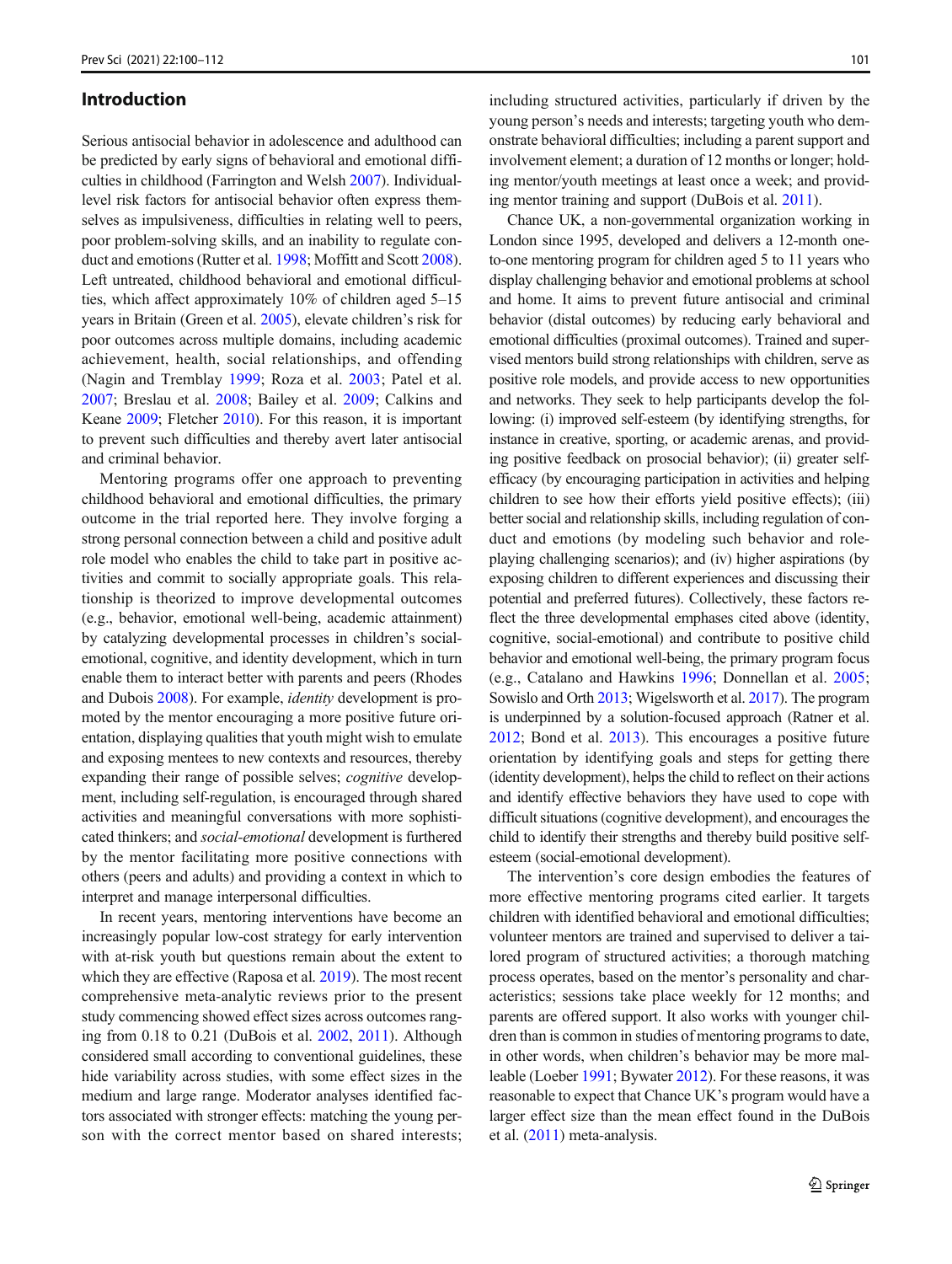## Introduction

Serious antisocial behavior in adolescence and adulthood can be predicted by early signs of behavioral and emotional difficulties in childhood (Farrington and Welsh [2007](#page-11-0)). Individuallevel risk factors for antisocial behavior often express themselves as impulsiveness, difficulties in relating well to peers, poor problem-solving skills, and an inability to regulate conduct and emotions (Rutter et al. [1998;](#page-12-0) Moffitt and Scott [2008\)](#page-12-0). Left untreated, childhood behavioral and emotional difficulties, which affect approximately 10% of children aged 5–15 years in Britain (Green et al. [2005\)](#page-11-0), elevate children's risk for poor outcomes across multiple domains, including academic achievement, health, social relationships, and offending (Nagin and Tremblay [1999](#page-12-0); Roza et al. [2003](#page-12-0); Patel et al. [2007;](#page-12-0) Breslau et al. [2008;](#page-11-0) Bailey et al. [2009;](#page-11-0) Calkins and Keane [2009;](#page-11-0) Fletcher [2010](#page-11-0)). For this reason, it is important to prevent such difficulties and thereby avert later antisocial and criminal behavior.

Mentoring programs offer one approach to preventing childhood behavioral and emotional difficulties, the primary outcome in the trial reported here. They involve forging a strong personal connection between a child and positive adult role model who enables the child to take part in positive activities and commit to socially appropriate goals. This relationship is theorized to improve developmental outcomes (e.g., behavior, emotional well-being, academic attainment) by catalyzing developmental processes in children's socialemotional, cognitive, and identity development, which in turn enable them to interact better with parents and peers (Rhodes and Dubois [2008\)](#page-12-0). For example, identity development is promoted by the mentor encouraging a more positive future orientation, displaying qualities that youth might wish to emulate and exposing mentees to new contexts and resources, thereby expanding their range of possible selves; *cognitive* development, including self-regulation, is encouraged through shared activities and meaningful conversations with more sophisticated thinkers; and social-emotional development is furthered by the mentor facilitating more positive connections with others (peers and adults) and providing a context in which to interpret and manage interpersonal difficulties.

In recent years, mentoring interventions have become an increasingly popular low-cost strategy for early intervention with at-risk youth but questions remain about the extent to which they are effective (Raposa et al. [2019\)](#page-12-0). The most recent comprehensive meta-analytic reviews prior to the present study commencing showed effect sizes across outcomes ranging from 0.18 to 0.21 (DuBois et al. [2002](#page-11-0), [2011\)](#page-11-0). Although considered small according to conventional guidelines, these hide variability across studies, with some effect sizes in the medium and large range. Moderator analyses identified factors associated with stronger effects: matching the young person with the correct mentor based on shared interests;

including structured activities, particularly if driven by the young person's needs and interests; targeting youth who demonstrate behavioral difficulties; including a parent support and involvement element; a duration of 12 months or longer; holding mentor/youth meetings at least once a week; and providing mentor training and support (DuBois et al. [2011](#page-11-0)).

Chance UK, a non-governmental organization working in London since 1995, developed and delivers a 12-month oneto-one mentoring program for children aged 5 to 11 years who display challenging behavior and emotional problems at school and home. It aims to prevent future antisocial and criminal behavior (distal outcomes) by reducing early behavioral and emotional difficulties (proximal outcomes). Trained and supervised mentors build strong relationships with children, serve as positive role models, and provide access to new opportunities and networks. They seek to help participants develop the following: (i) improved self-esteem (by identifying strengths, for instance in creative, sporting, or academic arenas, and providing positive feedback on prosocial behavior); (ii) greater selfefficacy (by encouraging participation in activities and helping children to see how their efforts yield positive effects); (iii) better social and relationship skills, including regulation of conduct and emotions (by modeling such behavior and roleplaying challenging scenarios); and (iv) higher aspirations (by exposing children to different experiences and discussing their potential and preferred futures). Collectively, these factors reflect the three developmental emphases cited above (identity, cognitive, social-emotional) and contribute to positive child behavior and emotional well-being, the primary program focus (e.g., Catalano and Hawkins [1996;](#page-11-0) Donnellan et al. [2005;](#page-11-0) Sowislo and Orth [2013](#page-12-0); Wigelsworth et al. [2017\)](#page-12-0). The program is underpinned by a solution-focused approach (Ratner et al. [2012;](#page-12-0) Bond et al. [2013\)](#page-11-0). This encourages a positive future orientation by identifying goals and steps for getting there (identity development), helps the child to reflect on their actions and identify effective behaviors they have used to cope with difficult situations (cognitive development), and encourages the child to identify their strengths and thereby build positive selfesteem (social-emotional development).

The intervention's core design embodies the features of more effective mentoring programs cited earlier. It targets children with identified behavioral and emotional difficulties; volunteer mentors are trained and supervised to deliver a tailored program of structured activities; a thorough matching process operates, based on the mentor's personality and characteristics; sessions take place weekly for 12 months; and parents are offered support. It also works with younger children than is common in studies of mentoring programs to date, in other words, when children's behavior may be more malleable (Loeber [1991](#page-12-0); Bywater [2012\)](#page-11-0). For these reasons, it was reasonable to expect that Chance UK's program would have a larger effect size than the mean effect found in the DuBois et al. ([2011](#page-11-0)) meta-analysis.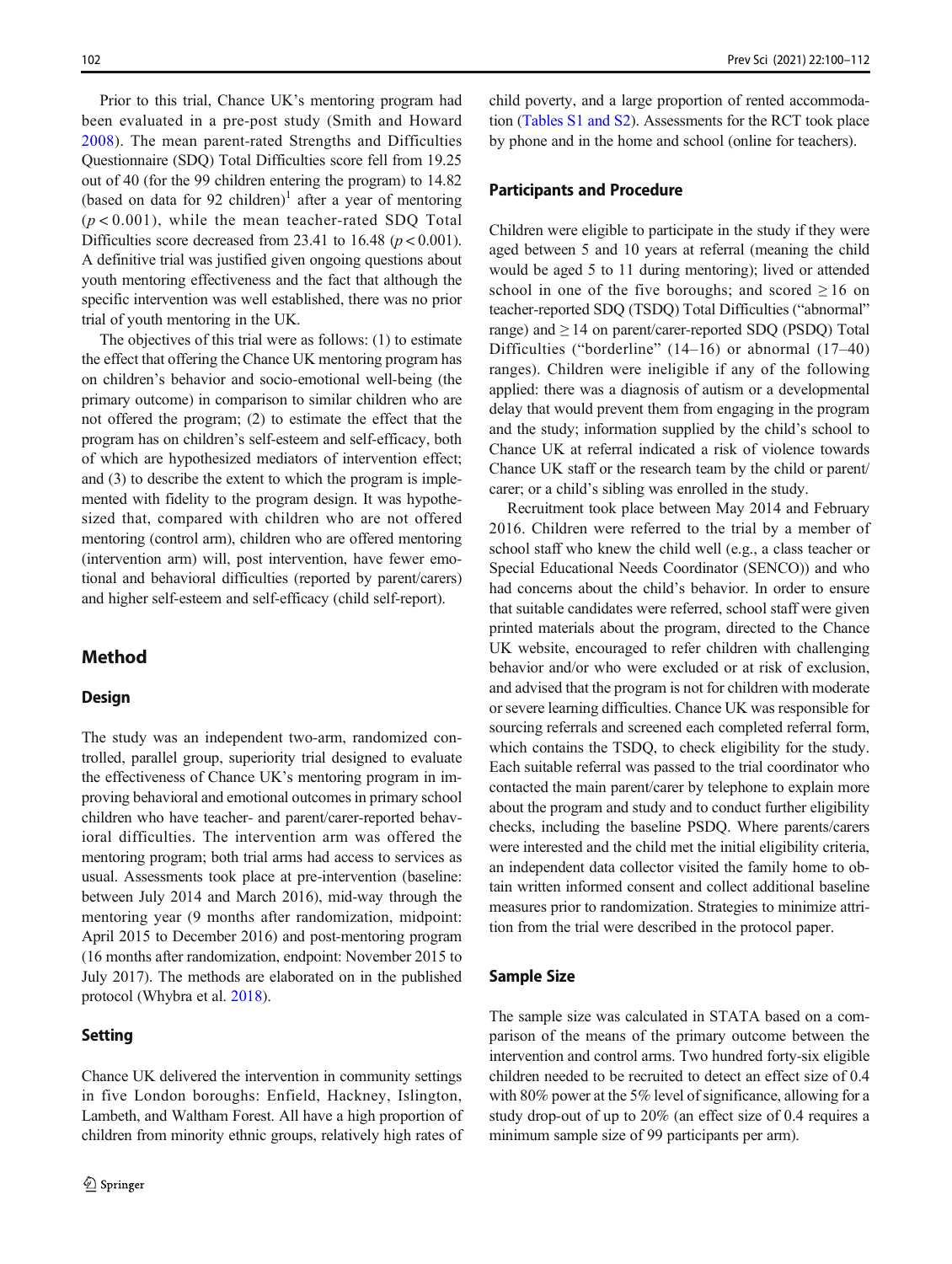Prior to this trial, Chance UK's mentoring program had been evaluated in a pre-post study (Smith and Howard [2008\)](#page-12-0). The mean parent-rated Strengths and Difficulties Questionnaire (SDQ) Total Difficulties score fell from 19.25 out of 40 (for the 99 children entering the program) to 14.82 (based on data for 92 children)<sup>1</sup> after a year of mentoring  $(p < 0.001)$ , while the mean teacher-rated SDQ Total Difficulties score decreased from 23.41 to 16.48 ( $p < 0.001$ ). A definitive trial was justified given ongoing questions about youth mentoring effectiveness and the fact that although the specific intervention was well established, there was no prior trial of youth mentoring in the UK.

The objectives of this trial were as follows: (1) to estimate the effect that offering the Chance UK mentoring program has on children's behavior and socio-emotional well-being (the primary outcome) in comparison to similar children who are not offered the program; (2) to estimate the effect that the program has on children's self-esteem and self-efficacy, both of which are hypothesized mediators of intervention effect; and (3) to describe the extent to which the program is implemented with fidelity to the program design. It was hypothesized that, compared with children who are not offered mentoring (control arm), children who are offered mentoring (intervention arm) will, post intervention, have fewer emotional and behavioral difficulties (reported by parent/carers) and higher self-esteem and self-efficacy (child self-report).

## Method

#### Design

The study was an independent two-arm, randomized controlled, parallel group, superiority trial designed to evaluate the effectiveness of Chance UK's mentoring program in improving behavioral and emotional outcomes in primary school children who have teacher- and parent/carer-reported behavioral difficulties. The intervention arm was offered the mentoring program; both trial arms had access to services as usual. Assessments took place at pre-intervention (baseline: between July 2014 and March 2016), mid-way through the mentoring year (9 months after randomization, midpoint: April 2015 to December 2016) and post-mentoring program (16 months after randomization, endpoint: November 2015 to July 2017). The methods are elaborated on in the published protocol (Whybra et al. [2018](#page-12-0)).

## **Setting**

Chance UK delivered the intervention in community settings in five London boroughs: Enfield, Hackney, Islington, Lambeth, and Waltham Forest. All have a high proportion of children from minority ethnic groups, relatively high rates of child poverty, and a large proportion of rented accommodation (Tables S1 and S2). Assessments for the RCT took place by phone and in the home and school (online for teachers).

## Participants and Procedure

Children were eligible to participate in the study if they were aged between 5 and 10 years at referral (meaning the child would be aged 5 to 11 during mentoring); lived or attended school in one of the five boroughs; and scored  $\geq 16$  on teacher-reported SDQ (TSDQ) Total Difficulties ("abnormal" range) and ≥ 14 on parent/carer-reported SDQ (PSDQ) Total Difficulties ("borderline" (14–16) or abnormal (17–40) ranges). Children were ineligible if any of the following applied: there was a diagnosis of autism or a developmental delay that would prevent them from engaging in the program and the study; information supplied by the child's school to Chance UK at referral indicated a risk of violence towards Chance UK staff or the research team by the child or parent/ carer; or a child's sibling was enrolled in the study.

Recruitment took place between May 2014 and February 2016. Children were referred to the trial by a member of school staff who knew the child well (e.g., a class teacher or Special Educational Needs Coordinator (SENCO)) and who had concerns about the child's behavior. In order to ensure that suitable candidates were referred, school staff were given printed materials about the program, directed to the Chance UK website, encouraged to refer children with challenging behavior and/or who were excluded or at risk of exclusion, and advised that the program is not for children with moderate or severe learning difficulties. Chance UK was responsible for sourcing referrals and screened each completed referral form, which contains the TSDQ, to check eligibility for the study. Each suitable referral was passed to the trial coordinator who contacted the main parent/carer by telephone to explain more about the program and study and to conduct further eligibility checks, including the baseline PSDQ. Where parents/carers were interested and the child met the initial eligibility criteria, an independent data collector visited the family home to obtain written informed consent and collect additional baseline measures prior to randomization. Strategies to minimize attrition from the trial were described in the protocol paper.

#### Sample Size

The sample size was calculated in STATA based on a comparison of the means of the primary outcome between the intervention and control arms. Two hundred forty-six eligible children needed to be recruited to detect an effect size of 0.4 with 80% power at the 5% level of significance, allowing for a study drop-out of up to 20% (an effect size of 0.4 requires a minimum sample size of 99 participants per arm).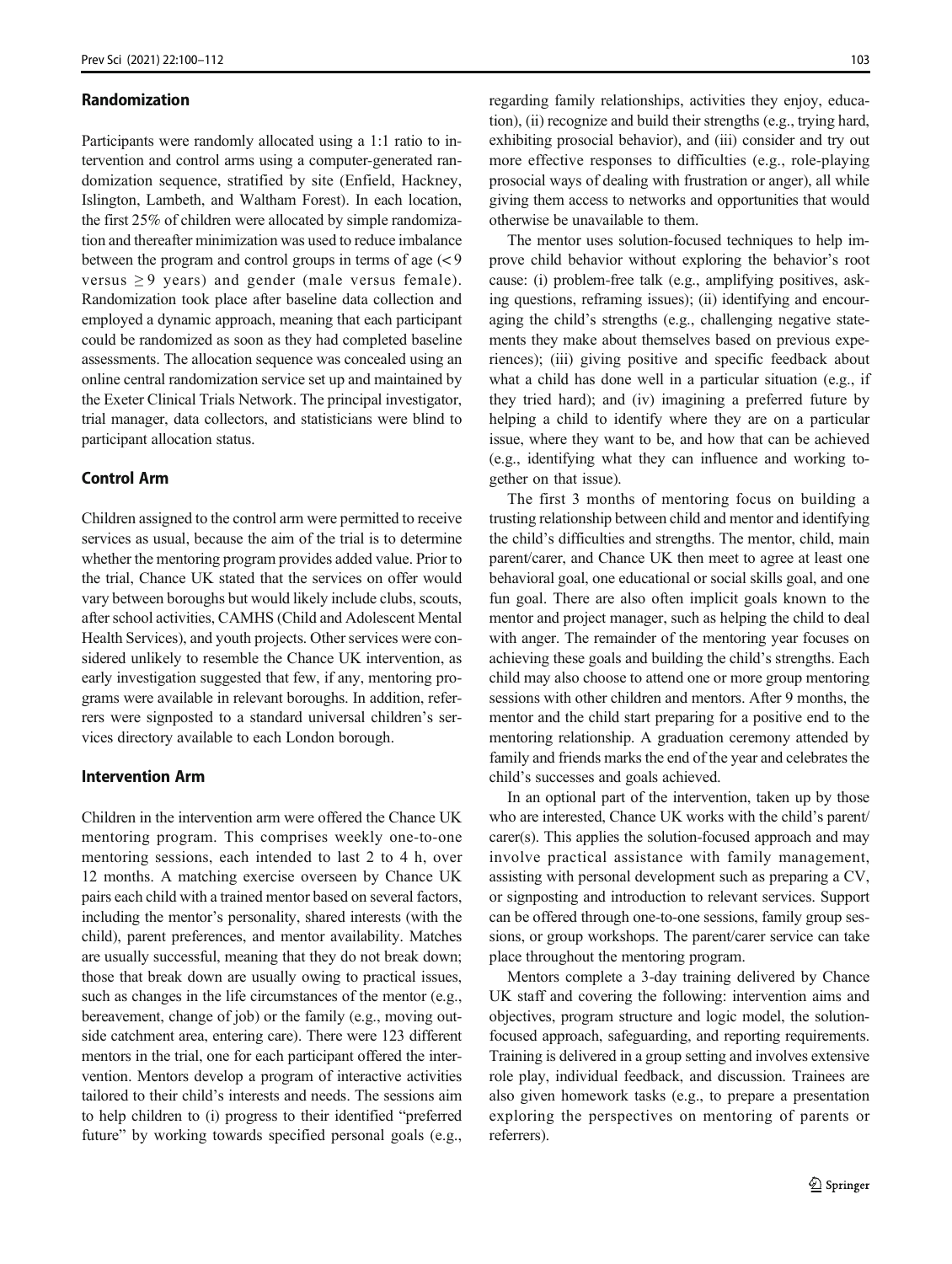#### Randomization

Participants were randomly allocated using a 1:1 ratio to intervention and control arms using a computer-generated randomization sequence, stratified by site (Enfield, Hackney, Islington, Lambeth, and Waltham Forest). In each location, the first 25% of children were allocated by simple randomization and thereafter minimization was used to reduce imbalance between the program and control groups in terms of age  $\left( < 9 \right)$ versus  $\geq 9$  years) and gender (male versus female). Randomization took place after baseline data collection and employed a dynamic approach, meaning that each participant could be randomized as soon as they had completed baseline assessments. The allocation sequence was concealed using an online central randomization service set up and maintained by the Exeter Clinical Trials Network. The principal investigator, trial manager, data collectors, and statisticians were blind to participant allocation status.

## Control Arm

Children assigned to the control arm were permitted to receive services as usual, because the aim of the trial is to determine whether the mentoring program provides added value. Prior to the trial, Chance UK stated that the services on offer would vary between boroughs but would likely include clubs, scouts, after school activities, CAMHS (Child and Adolescent Mental Health Services), and youth projects. Other services were considered unlikely to resemble the Chance UK intervention, as early investigation suggested that few, if any, mentoring programs were available in relevant boroughs. In addition, referrers were signposted to a standard universal children's services directory available to each London borough.

## Intervention Arm

Children in the intervention arm were offered the Chance UK mentoring program. This comprises weekly one-to-one mentoring sessions, each intended to last 2 to 4 h, over 12 months. A matching exercise overseen by Chance UK pairs each child with a trained mentor based on several factors, including the mentor's personality, shared interests (with the child), parent preferences, and mentor availability. Matches are usually successful, meaning that they do not break down; those that break down are usually owing to practical issues, such as changes in the life circumstances of the mentor (e.g., bereavement, change of job) or the family (e.g., moving outside catchment area, entering care). There were 123 different mentors in the trial, one for each participant offered the intervention. Mentors develop a program of interactive activities tailored to their child's interests and needs. The sessions aim to help children to (i) progress to their identified "preferred future" by working towards specified personal goals (e.g., regarding family relationships, activities they enjoy, education), (ii) recognize and build their strengths (e.g., trying hard, exhibiting prosocial behavior), and (iii) consider and try out more effective responses to difficulties (e.g., role-playing prosocial ways of dealing with frustration or anger), all while giving them access to networks and opportunities that would otherwise be unavailable to them.

The mentor uses solution-focused techniques to help improve child behavior without exploring the behavior's root cause: (i) problem-free talk (e.g., amplifying positives, asking questions, reframing issues); (ii) identifying and encouraging the child's strengths (e.g., challenging negative statements they make about themselves based on previous experiences); (iii) giving positive and specific feedback about what a child has done well in a particular situation (e.g., if they tried hard); and (iv) imagining a preferred future by helping a child to identify where they are on a particular issue, where they want to be, and how that can be achieved (e.g., identifying what they can influence and working together on that issue).

The first 3 months of mentoring focus on building a trusting relationship between child and mentor and identifying the child's difficulties and strengths. The mentor, child, main parent/carer, and Chance UK then meet to agree at least one behavioral goal, one educational or social skills goal, and one fun goal. There are also often implicit goals known to the mentor and project manager, such as helping the child to deal with anger. The remainder of the mentoring year focuses on achieving these goals and building the child's strengths. Each child may also choose to attend one or more group mentoring sessions with other children and mentors. After 9 months, the mentor and the child start preparing for a positive end to the mentoring relationship. A graduation ceremony attended by family and friends marks the end of the year and celebrates the child's successes and goals achieved.

In an optional part of the intervention, taken up by those who are interested, Chance UK works with the child's parent/ carer(s). This applies the solution-focused approach and may involve practical assistance with family management, assisting with personal development such as preparing a CV, or signposting and introduction to relevant services. Support can be offered through one-to-one sessions, family group sessions, or group workshops. The parent/carer service can take place throughout the mentoring program.

Mentors complete a 3-day training delivered by Chance UK staff and covering the following: intervention aims and objectives, program structure and logic model, the solutionfocused approach, safeguarding, and reporting requirements. Training is delivered in a group setting and involves extensive role play, individual feedback, and discussion. Trainees are also given homework tasks (e.g., to prepare a presentation exploring the perspectives on mentoring of parents or referrers).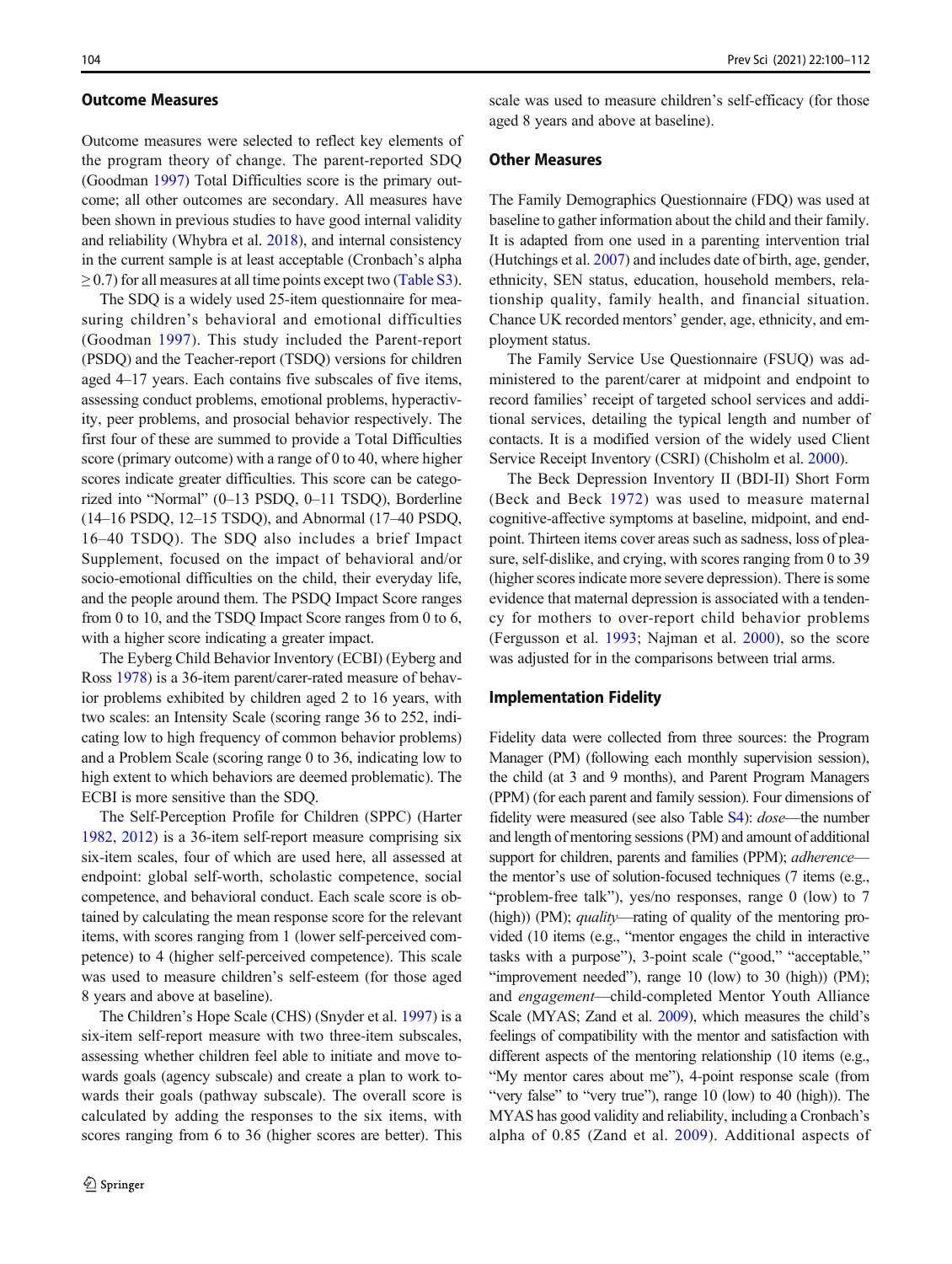#### Outcome Measures

Outcome measures were selected to reflect key elements of the program theory of change. The parent-reported SDQ (Goodman [1997](#page-11-0)) Total Difficulties score is the primary outcome; all other outcomes are secondary. All measures have been shown in previous studies to have good internal validity and reliability (Whybra et al. [2018\)](#page-12-0), and internal consistency in the current sample is at least acceptable (Cronbach's alpha  $\geq$  0.7) for all measures at all time points except two (Table S3).

The SDQ is a widely used 25-item questionnaire for measuring children's behavioral and emotional difficulties (Goodman [1997\)](#page-11-0). This study included the Parent-report (PSDQ) and the Teacher-report (TSDQ) versions for children aged 4–17 years. Each contains five subscales of five items, assessing conduct problems, emotional problems, hyperactivity, peer problems, and prosocial behavior respectively. The first four of these are summed to provide a Total Difficulties score (primary outcome) with a range of 0 to 40, where higher scores indicate greater difficulties. This score can be categorized into "Normal" (0–13 PSDQ, 0–11 TSDQ), Borderline (14–16 PSDQ, 12–15 TSDQ), and Abnormal (17–40 PSDQ, 16–40 TSDQ). The SDQ also includes a brief Impact Supplement, focused on the impact of behavioral and/or socio-emotional difficulties on the child, their everyday life, and the people around them. The PSDQ Impact Score ranges from 0 to 10, and the TSDQ Impact Score ranges from 0 to 6, with a higher score indicating a greater impact.

The Eyberg Child Behavior Inventory (ECBI) (Eyberg and Ross [1978](#page-11-0)) is a 36-item parent/carer-rated measure of behavior problems exhibited by children aged 2 to 16 years, with two scales: an Intensity Scale (scoring range 36 to 252, indicating low to high frequency of common behavior problems) and a Problem Scale (scoring range 0 to 36, indicating low to high extent to which behaviors are deemed problematic). The ECBI is more sensitive than the SDQ.

The Self-Perception Profile for Children (SPPC) (Harter [1982,](#page-11-0) [2012\)](#page-11-0) is a 36-item self-report measure comprising six six-item scales, four of which are used here, all assessed at endpoint: global self-worth, scholastic competence, social competence, and behavioral conduct. Each scale score is obtained by calculating the mean response score for the relevant items, with scores ranging from 1 (lower self-perceived competence) to 4 (higher self-perceived competence). This scale was used to measure children's self-esteem (for those aged 8 years and above at baseline).

The Children's Hope Scale (CHS) (Snyder et al. [1997\)](#page-12-0) is a six-item self-report measure with two three-item subscales, assessing whether children feel able to initiate and move towards goals (agency subscale) and create a plan to work towards their goals (pathway subscale). The overall score is calculated by adding the responses to the six items, with scores ranging from 6 to 36 (higher scores are better). This scale was used to measure children's self-efficacy (for those aged 8 years and above at baseline).

#### Other Measures

The Family Demographics Questionnaire (FDQ) was used at baseline to gather information about the child and their family. It is adapted from one used in a parenting intervention trial (Hutchings et al. [2007](#page-12-0)) and includes date of birth, age, gender, ethnicity, SEN status, education, household members, relationship quality, family health, and financial situation. Chance UK recorded mentors' gender, age, ethnicity, and employment status.

The Family Service Use Questionnaire (FSUQ) was administered to the parent/carer at midpoint and endpoint to record families' receipt of targeted school services and additional services, detailing the typical length and number of contacts. It is a modified version of the widely used Client Service Receipt Inventory (CSRI) (Chisholm et al. [2000](#page-11-0)).

The Beck Depression Inventory II (BDI-II) Short Form (Beck and Beck [1972\)](#page-11-0) was used to measure maternal cognitive-affective symptoms at baseline, midpoint, and endpoint. Thirteen items cover areas such as sadness, loss of pleasure, self-dislike, and crying, with scores ranging from 0 to 39 (higher scores indicate more severe depression). There is some evidence that maternal depression is associated with a tendency for mothers to over-report child behavior problems (Fergusson et al. [1993;](#page-11-0) Najman et al. [2000](#page-12-0)), so the score was adjusted for in the comparisons between trial arms.

#### Implementation Fidelity

Fidelity data were collected from three sources: the Program Manager (PM) (following each monthly supervision session), the child (at 3 and 9 months), and Parent Program Managers (PPM) (for each parent and family session). Four dimensions of fidelity were measured (see also Table S4): dose—the number and length of mentoring sessions (PM) and amount of additional support for children, parents and families (PPM); *adherence* the mentor's use of solution-focused techniques (7 items (e.g., "problem-free talk"), yes/no responses, range 0 (low) to 7 (high)) (PM); *quality*—rating of quality of the mentoring provided (10 items (e.g., "mentor engages the child in interactive tasks with a purpose"), 3-point scale ("good," "acceptable," "improvement needed"), range 10 (low) to 30 (high)) (PM); and engagement—child-completed Mentor Youth Alliance Scale (MYAS; Zand et al. [2009\)](#page-12-0), which measures the child's feelings of compatibility with the mentor and satisfaction with different aspects of the mentoring relationship (10 items (e.g., "My mentor cares about me"), 4-point response scale (from "very false" to "very true"), range 10 (low) to 40 (high)). The MYAS has good validity and reliability, including a Cronbach's alpha of 0.85 (Zand et al. [2009](#page-12-0)). Additional aspects of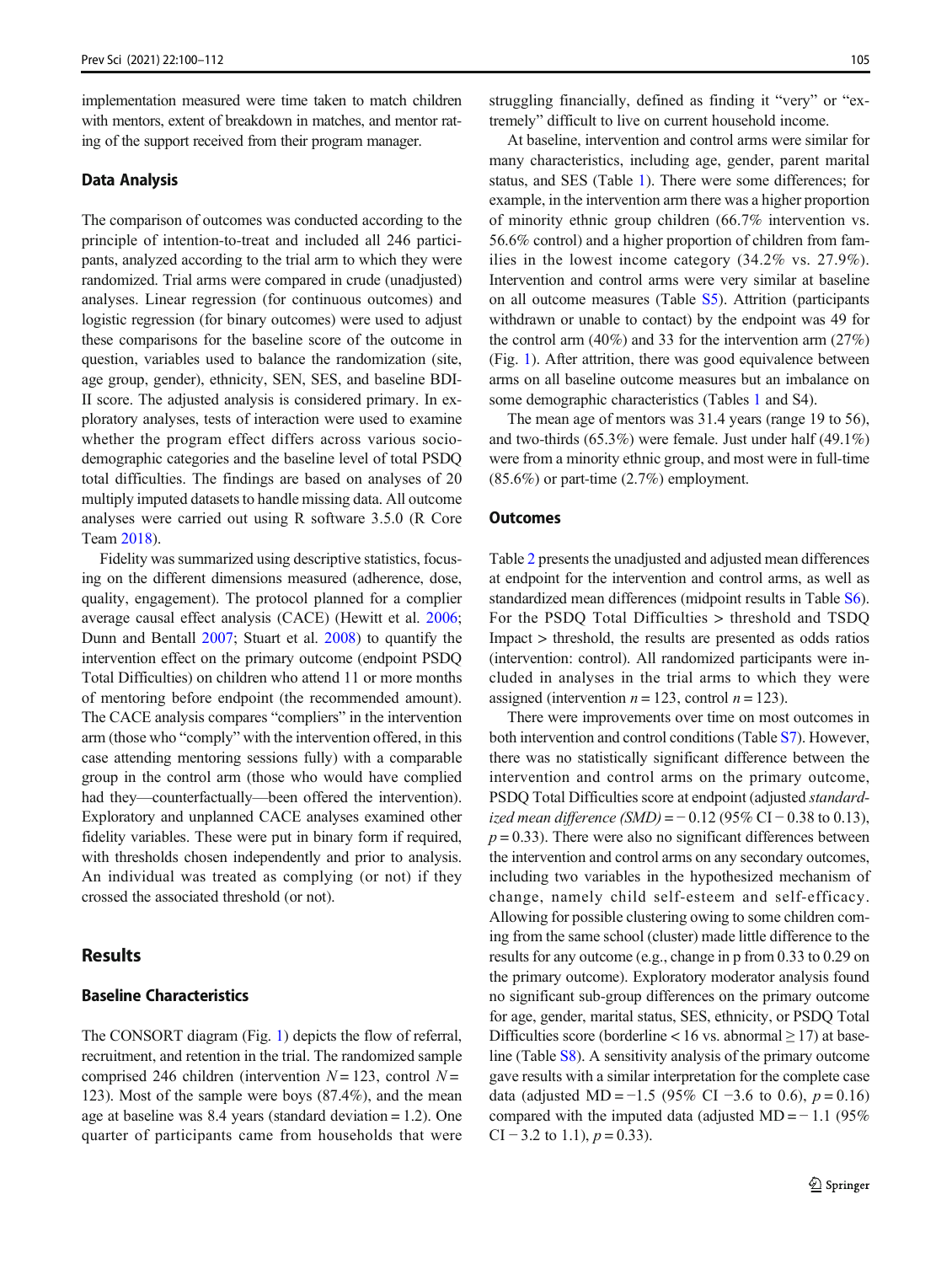implementation measured were time taken to match children with mentors, extent of breakdown in matches, and mentor rating of the support received from their program manager.

#### Data Analysis

The comparison of outcomes was conducted according to the principle of intention-to-treat and included all 246 participants, analyzed according to the trial arm to which they were randomized. Trial arms were compared in crude (unadjusted) analyses. Linear regression (for continuous outcomes) and logistic regression (for binary outcomes) were used to adjust these comparisons for the baseline score of the outcome in question, variables used to balance the randomization (site, age group, gender), ethnicity, SEN, SES, and baseline BDI-II score. The adjusted analysis is considered primary. In exploratory analyses, tests of interaction were used to examine whether the program effect differs across various sociodemographic categories and the baseline level of total PSDQ total difficulties. The findings are based on analyses of 20 multiply imputed datasets to handle missing data. All outcome analyses were carried out using R software 3.5.0 (R Core Team [2018](#page-11-0)).

Fidelity was summarized using descriptive statistics, focusing on the different dimensions measured (adherence, dose, quality, engagement). The protocol planned for a complier average causal effect analysis (CACE) (Hewitt et al. [2006](#page-11-0); Dunn and Bentall [2007](#page-11-0); Stuart et al. [2008\)](#page-12-0) to quantify the intervention effect on the primary outcome (endpoint PSDQ Total Difficulties) on children who attend 11 or more months of mentoring before endpoint (the recommended amount). The CACE analysis compares "compliers" in the intervention arm (those who "comply" with the intervention offered, in this case attending mentoring sessions fully) with a comparable group in the control arm (those who would have complied had they—counterfactually—been offered the intervention). Exploratory and unplanned CACE analyses examined other fidelity variables. These were put in binary form if required, with thresholds chosen independently and prior to analysis. An individual was treated as complying (or not) if they crossed the associated threshold (or not).

## Results

## Baseline Characteristics

The CONSORT diagram (Fig. [1](#page-6-0)) depicts the flow of referral, recruitment, and retention in the trial. The randomized sample comprised 246 children (intervention  $N = 123$ , control  $N =$ 123). Most of the sample were boys (87.4%), and the mean age at baseline was 8.4 years (standard deviation = 1.2). One quarter of participants came from households that were

struggling financially, defined as finding it "very" or "extremely" difficult to live on current household income.

At baseline, intervention and control arms were similar for many characteristics, including age, gender, parent marital status, and SES (Table [1](#page-7-0)). There were some differences; for example, in the intervention arm there was a higher proportion of minority ethnic group children (66.7% intervention vs. 56.6% control) and a higher proportion of children from families in the lowest income category (34.2% vs. 27.9%). Intervention and control arms were very similar at baseline on all outcome measures (Table S5). Attrition (participants withdrawn or unable to contact) by the endpoint was 49 for the control arm (40%) and 33 for the intervention arm (27%) (Fig. [1\)](#page-6-0). After attrition, there was good equivalence between arms on all baseline outcome measures but an imbalance on some demographic characteristics (Tables [1](#page-7-0) and S4).

The mean age of mentors was 31.4 years (range 19 to 56), and two-thirds (65.3%) were female. Just under half (49.1%) were from a minority ethnic group, and most were in full-time (85.6%) or part-time (2.7%) employment.

#### **Outcomes**

Table [2](#page-8-0) presents the unadjusted and adjusted mean differences at endpoint for the intervention and control arms, as well as standardized mean differences (midpoint results in Table S6). For the PSDQ Total Difficulties > threshold and TSDQ Impact > threshold, the results are presented as odds ratios (intervention: control). All randomized participants were included in analyses in the trial arms to which they were assigned (intervention  $n = 123$ , control  $n = 123$ ).

There were improvements over time on most outcomes in both intervention and control conditions (Table S7). However, there was no statistically significant difference between the intervention and control arms on the primary outcome, PSDQ Total Difficulties score at endpoint (adjusted standardized mean difference (SMD) =  $-0.12$  (95% CI  $-0.38$  to 0.13),  $p = 0.33$ ). There were also no significant differences between the intervention and control arms on any secondary outcomes, including two variables in the hypothesized mechanism of change, namely child self-esteem and self-efficacy. Allowing for possible clustering owing to some children coming from the same school (cluster) made little difference to the results for any outcome (e.g., change in p from 0.33 to 0.29 on the primary outcome). Exploratory moderator analysis found no significant sub-group differences on the primary outcome for age, gender, marital status, SES, ethnicity, or PSDQ Total Difficulties score (borderline < 16 vs. abnormal  $\geq$  17) at baseline (Table S8). A sensitivity analysis of the primary outcome gave results with a similar interpretation for the complete case data (adjusted MD = −1.5 (95% CI −3.6 to 0.6),  $p = 0.16$ ) compared with the imputed data (adjusted MD =  $-1.1$  (95%) CI – 3.2 to 1.1),  $p = 0.33$ .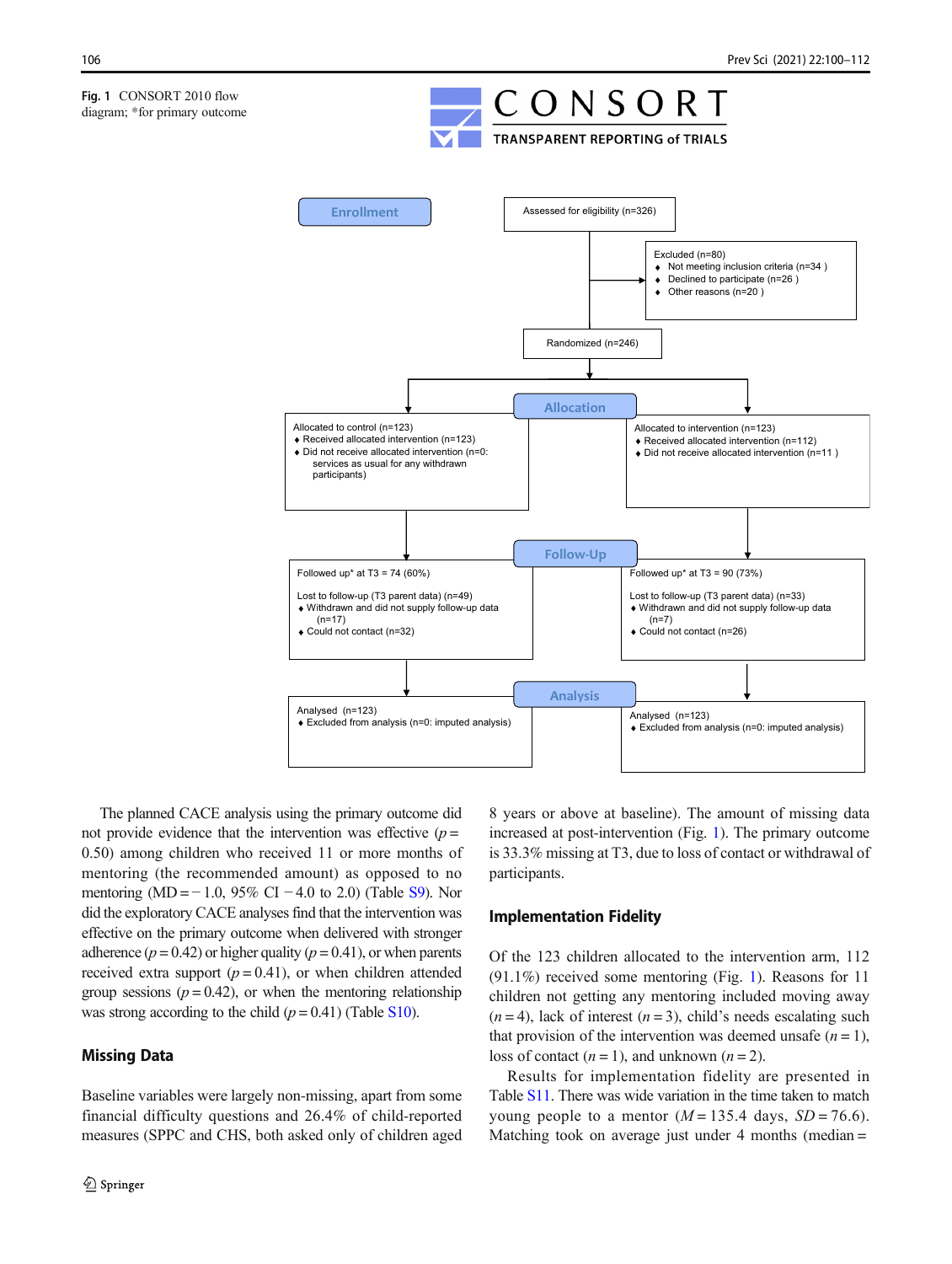<span id="page-6-0"></span>

The planned CACE analysis using the primary outcome did not provide evidence that the intervention was effective  $(p =$ 0.50) among children who received 11 or more months of mentoring (the recommended amount) as opposed to no mentoring (MD =  $-1.0$ , 95% CI  $-4.0$  to 2.0) (Table S9). Nor did the exploratory CACE analyses find that the intervention was effective on the primary outcome when delivered with stronger adherence ( $p = 0.42$ ) or higher quality ( $p = 0.41$ ), or when parents received extra support  $(p = 0.41)$ , or when children attended group sessions ( $p = 0.42$ ), or when the mentoring relationship was strong according to the child  $(p = 0.41)$  (Table S10).

## Missing Data

Baseline variables were largely non-missing, apart from some financial difficulty questions and 26.4% of child-reported measures (SPPC and CHS, both asked only of children aged 8 years or above at baseline). The amount of missing data increased at post-intervention (Fig. 1). The primary outcome is 33.3% missing at T3, due to loss of contact or withdrawal of participants.

## Implementation Fidelity

Of the 123 children allocated to the intervention arm, 112 (91.1%) received some mentoring (Fig. 1). Reasons for 11 children not getting any mentoring included moving away  $(n=4)$ , lack of interest  $(n=3)$ , child's needs escalating such that provision of the intervention was deemed unsafe  $(n = 1)$ , loss of contact  $(n = 1)$ , and unknown  $(n = 2)$ .

Results for implementation fidelity are presented in Table S11. There was wide variation in the time taken to match young people to a mentor  $(M = 135.4$  days,  $SD = 76.6$ ). Matching took on average just under  $4$  months (median =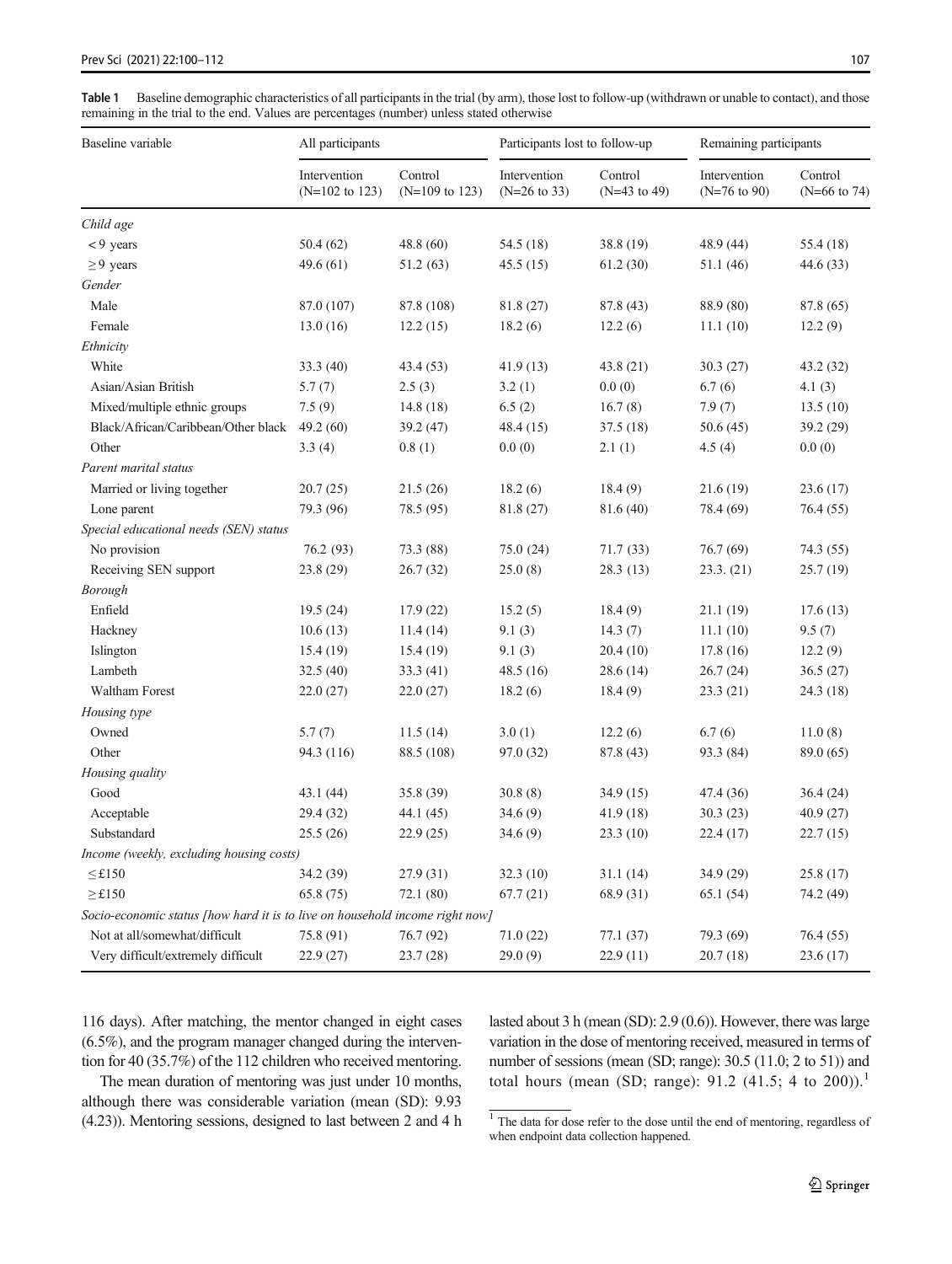<span id="page-7-0"></span>Table 1 Baseline demographic characteristics of all participants in the trial (by arm), those lost to follow-up (withdrawn or unable to contact), and those remaining in the trial to the end. Values are percentages (number) unless stated otherwise

| Baseline variable                                                            | All participants                          |                                      | Participants lost to follow-up          |                           | Remaining participants                  |                           |
|------------------------------------------------------------------------------|-------------------------------------------|--------------------------------------|-----------------------------------------|---------------------------|-----------------------------------------|---------------------------|
|                                                                              | Intervention<br>$(N=102 \text{ to } 123)$ | Control<br>$(N=109 \text{ to } 123)$ | Intervention<br>$(N=26 \text{ to } 33)$ | Control<br>$(N=43$ to 49) | Intervention<br>$(N=76 \text{ to } 90)$ | Control<br>$(N=66$ to 74) |
| Child age                                                                    |                                           |                                      |                                         |                           |                                         |                           |
| $< 9$ years                                                                  | 50.4(62)                                  | 48.8 (60)                            | 54.5 (18)                               | 38.8 (19)                 | 48.9 (44)                               | 55.4 (18)                 |
| $\geq$ 9 years                                                               | 49.6(61)                                  | 51.2(63)                             | 45.5(15)                                | 61.2(30)                  | 51.1 (46)                               | 44.6(33)                  |
| Gender                                                                       |                                           |                                      |                                         |                           |                                         |                           |
| Male                                                                         | 87.0 (107)                                | 87.8 (108)                           | 81.8 (27)                               | 87.8 (43)                 | 88.9 (80)                               | 87.8 (65)                 |
| Female                                                                       | 13.0(16)                                  | 12.2(15)                             | 18.2(6)                                 | 12.2(6)                   | 11.1(10)                                | 12.2(9)                   |
| Ethnicity                                                                    |                                           |                                      |                                         |                           |                                         |                           |
| White                                                                        | 33.3(40)                                  | 43.4(53)                             | 41.9(13)                                | 43.8(21)                  | 30.3(27)                                | 43.2 (32)                 |
| Asian/Asian British                                                          | 5.7(7)                                    | 2.5(3)                               | 3.2(1)                                  | 0.0(0)                    | 6.7(6)                                  | 4.1(3)                    |
| Mixed/multiple ethnic groups                                                 | 7.5(9)                                    | 14.8(18)                             | 6.5(2)                                  | 16.7(8)                   | 7.9(7)                                  | 13.5(10)                  |
| Black/African/Caribbean/Other black                                          | 49.2 $(60)$                               | 39.2 (47)                            | 48.4(15)                                | 37.5(18)                  | 50.6(45)                                | 39.2 (29)                 |
| Other                                                                        | 3.3(4)                                    | 0.8(1)                               | 0.0(0)                                  | 2.1(1)                    | 4.5(4)                                  | 0.0(0)                    |
| Parent marital status                                                        |                                           |                                      |                                         |                           |                                         |                           |
| Married or living together                                                   | 20.7(25)                                  | 21.5(26)                             | 18.2(6)                                 | 18.4(9)                   | 21.6(19)                                | 23.6(17)                  |
| Lone parent                                                                  | 79.3 (96)                                 | 78.5 (95)                            | 81.8 (27)                               | 81.6 (40)                 | 78.4 (69)                               | 76.4(55)                  |
| Special educational needs (SEN) status                                       |                                           |                                      |                                         |                           |                                         |                           |
| No provision                                                                 | 76.2 (93)                                 | 73.3 (88)                            | 75.0(24)                                | 71.7(33)                  | 76.7 (69)                               | 74.3 (55)                 |
| Receiving SEN support                                                        | 23.8 (29)                                 | 26.7(32)                             | 25.0(8)                                 | 28.3 (13)                 | 23.3. (21)                              | 25.7(19)                  |
| Borough                                                                      |                                           |                                      |                                         |                           |                                         |                           |
| Enfield                                                                      | 19.5(24)                                  | 17.9(22)                             | 15.2(5)                                 | 18.4(9)                   | 21.1(19)                                | 17.6(13)                  |
| Hackney                                                                      | 10.6(13)                                  | 11.4(14)                             | 9.1(3)                                  | 14.3(7)                   | 11.1(10)                                | 9.5(7)                    |
| Islington                                                                    | 15.4(19)                                  | 15.4(19)                             | 9.1(3)                                  | 20.4(10)                  | 17.8(16)                                | 12.2(9)                   |
| Lambeth                                                                      | 32.5(40)                                  | 33.3 (41)                            | 48.5(16)                                | 28.6(14)                  | 26.7(24)                                | 36.5(27)                  |
| <b>Waltham Forest</b>                                                        | 22.0(27)                                  | 22.0(27)                             | 18.2(6)                                 | 18.4(9)                   | 23.3(21)                                | 24.3(18)                  |
| Housing type                                                                 |                                           |                                      |                                         |                           |                                         |                           |
| Owned                                                                        | 5.7(7)                                    | 11.5(14)                             | 3.0(1)                                  | 12.2(6)                   | 6.7(6)                                  | 11.0(8)                   |
| Other                                                                        | 94.3 (116)                                | 88.5 (108)                           | 97.0 (32)                               | 87.8 (43)                 | 93.3 (84)                               | 89.0 (65)                 |
| Housing quality                                                              |                                           |                                      |                                         |                           |                                         |                           |
| Good                                                                         | 43.1(44)                                  | 35.8 (39)                            | 30.8(8)                                 | 34.9(15)                  | 47.4 (36)                               | 36.4(24)                  |
| Acceptable                                                                   | 29.4 (32)                                 | 44.1 (45)                            | 34.6(9)                                 | 41.9(18)                  | 30.3(23)                                | 40.9(27)                  |
| Substandard                                                                  | 25.5(26)                                  | 22.9(25)                             | 34.6(9)                                 | 23.3(10)                  | 22.4(17)                                | 22.7(15)                  |
| Income (weekly, excluding housing costs)                                     |                                           |                                      |                                         |                           |                                         |                           |
| $\leq$ £150                                                                  | 34.2 (39)                                 | 27.9(31)                             | 32.3(10)                                | 31.1(14)                  | 34.9 (29)                               | 25.8(17)                  |
| $\geq$ £150                                                                  | 65.8(75)                                  | 72.1 (80)                            | 67.7(21)                                | 68.9 (31)                 | 65.1(54)                                | 74.2 (49)                 |
| Socio-economic status [how hard it is to live on household income right now] |                                           |                                      |                                         |                           |                                         |                           |
| Not at all/somewhat/difficult                                                | 75.8 (91)                                 | 76.7 (92)                            | 71.0(22)                                | 77.1 (37)                 | 79.3 (69)                               | 76.4 (55)                 |
| Very difficult/extremely difficult                                           | 22.9 (27)                                 | 23.7(28)                             | 29.0(9)                                 | 22.9(11)                  | 20.7(18)                                | 23.6 (17)                 |

116 days). After matching, the mentor changed in eight cases (6.5%), and the program manager changed during the intervention for 40 (35.7%) of the 112 children who received mentoring.

lasted about 3 h (mean (SD): 2.9 (0.6)). However, there was large variation in the dose of mentoring received, measured in terms of number of sessions (mean (SD; range): 30.5 (11.0; 2 to 51)) and total hours (mean (SD; range):  $91.2$  (41.5; 4 to 200)).<sup>1</sup>

The mean duration of mentoring was just under 10 months, although there was considerable variation (mean (SD): 9.93 (4.23)). Mentoring sessions, designed to last between 2 and 4 h

 $\frac{1}{1}$  The data for dose refer to the dose until the end of mentoring, regardless of when endpoint data collection happened.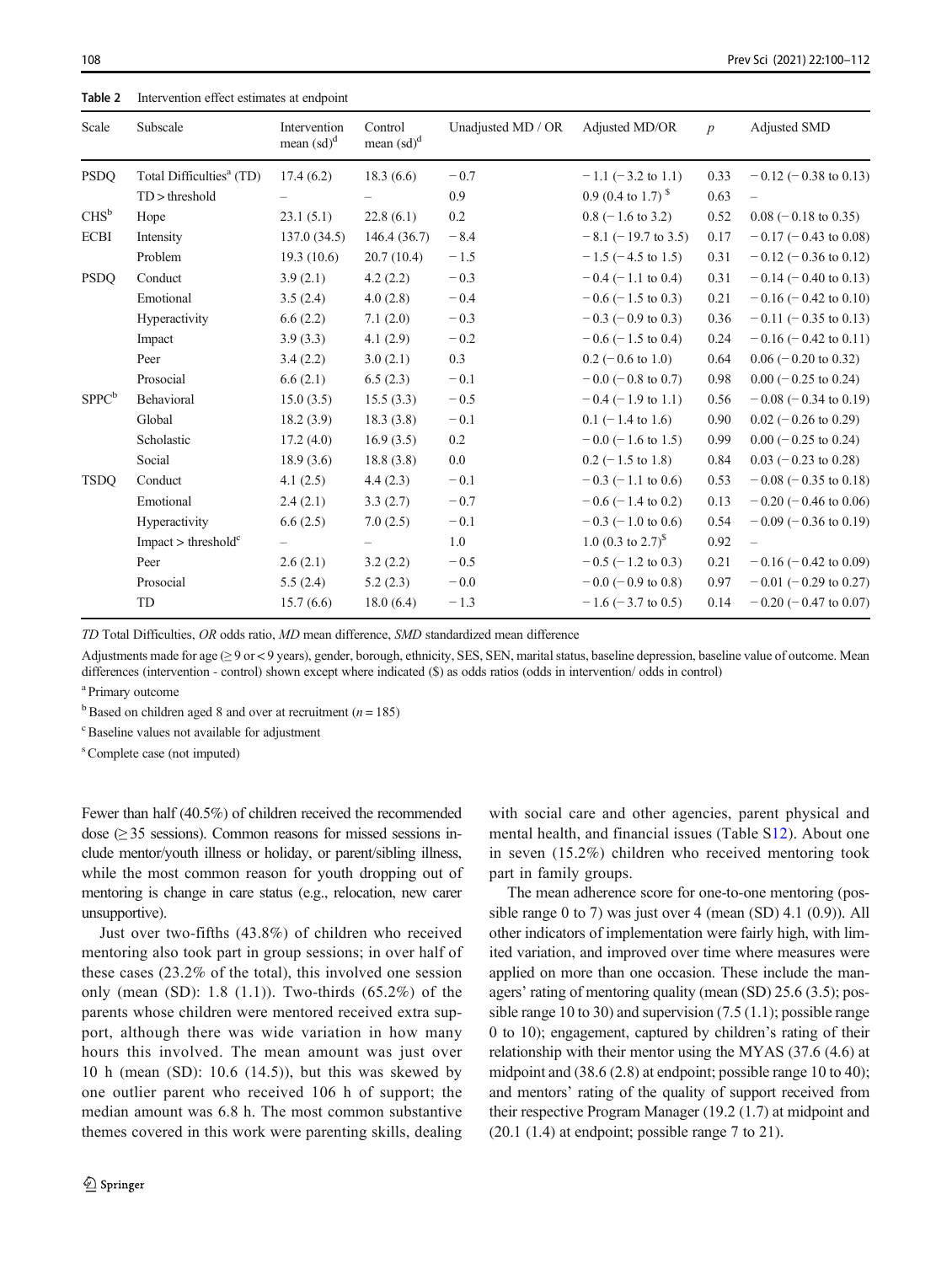<span id="page-8-0"></span>Table 2 Intervention effect estimates at endpoint

| Total Difficulties <sup>a</sup> (TD)<br>18.3(6.6)<br>$-0.7$<br>$-1.1$ (-3.2 to 1.1)<br>$-0.12$ (-0.38 to 0.13)<br><b>PSDQ</b><br>17.4(6.2)<br>0.33<br>0.9 (0.4 to 1.7) $\rm{^{8}}$<br>$TD$ > threshold<br>0.9<br>0.63<br>$CHS^b$<br>0.2<br>22.8(6.1)<br>$0.8$ (-1.6 to 3.2)<br>23.1(5.1)<br>0.52<br>$0.08$ (-0.18 to 0.35)<br>Hope<br><b>ECBI</b><br>$-8.4$<br>$-8.1$ (-19.7 to 3.5)<br>0.17<br>$-0.17$ (-0.43 to 0.08)<br>Intensity<br>137.0(34.5)<br>146.4(36.7)<br>$-1.5$<br>$-1.5$ ( $-4.5$ to 1.5)<br>0.31<br>Problem<br>19.3(10.6)<br>20.7(10.4)<br>$-0.12$ (-0.36 to 0.12)<br><b>PSDQ</b><br>Conduct<br>3.9(2.1)<br>$-0.3$<br>$-0.4$ (-1.1 to 0.4)<br>0.31<br>$-0.14$ (-0.40 to 0.13)<br>4.2(2.2)<br>Emotional<br>$-0.4$<br>$-0.6$ ( $-1.5$ to 0.3)<br>0.21<br>4.0(2.8)<br>$-0.16$ ( $-0.42$ to 0.10)<br>3.5(2.4)<br>$-0.3$<br>Hyperactivity<br>6.6(2.2)<br>7.1(2.0)<br>$-0.3$ (-0.9 to 0.3)<br>0.36<br>$-0.11$ (-0.35 to 0.13)<br>$-\,0.2$<br>4.1(2.9)<br>$-0.6$ (-1.5 to 0.4)<br>0.24<br>$-0.16$ ( $-0.42$ to 0.11)<br>Impact<br>3.9(3.3)<br>0.3<br>3.4(2.2)<br>3.0(2.1)<br>$0.2$ (-0.6 to 1.0)<br>0.64<br>$0.06$ ( $-0.20$ to 0.32)<br>Peer<br>Prosocial<br>$\sim\!0.1$<br>6.6(2.1)<br>6.5(2.3)<br>$-0.0$ (-0.8 to 0.7)<br>0.98<br>$0.00 (-0.25 \text{ to } 0.24)$<br>$SPPC^b$<br>Behavioral<br>$-0.5$<br>15.0(3.5)<br>$-0.4$ (-1.9 to 1.1)<br>0.56<br>$-0.08$ ( $-0.34$ to 0.19)<br>15.5(3.3) |  |
|----------------------------------------------------------------------------------------------------------------------------------------------------------------------------------------------------------------------------------------------------------------------------------------------------------------------------------------------------------------------------------------------------------------------------------------------------------------------------------------------------------------------------------------------------------------------------------------------------------------------------------------------------------------------------------------------------------------------------------------------------------------------------------------------------------------------------------------------------------------------------------------------------------------------------------------------------------------------------------------------------------------------------------------------------------------------------------------------------------------------------------------------------------------------------------------------------------------------------------------------------------------------------------------------------------------------------------------------------------------------------------------------------------|--|
|                                                                                                                                                                                                                                                                                                                                                                                                                                                                                                                                                                                                                                                                                                                                                                                                                                                                                                                                                                                                                                                                                                                                                                                                                                                                                                                                                                                                          |  |
|                                                                                                                                                                                                                                                                                                                                                                                                                                                                                                                                                                                                                                                                                                                                                                                                                                                                                                                                                                                                                                                                                                                                                                                                                                                                                                                                                                                                          |  |
|                                                                                                                                                                                                                                                                                                                                                                                                                                                                                                                                                                                                                                                                                                                                                                                                                                                                                                                                                                                                                                                                                                                                                                                                                                                                                                                                                                                                          |  |
|                                                                                                                                                                                                                                                                                                                                                                                                                                                                                                                                                                                                                                                                                                                                                                                                                                                                                                                                                                                                                                                                                                                                                                                                                                                                                                                                                                                                          |  |
|                                                                                                                                                                                                                                                                                                                                                                                                                                                                                                                                                                                                                                                                                                                                                                                                                                                                                                                                                                                                                                                                                                                                                                                                                                                                                                                                                                                                          |  |
|                                                                                                                                                                                                                                                                                                                                                                                                                                                                                                                                                                                                                                                                                                                                                                                                                                                                                                                                                                                                                                                                                                                                                                                                                                                                                                                                                                                                          |  |
|                                                                                                                                                                                                                                                                                                                                                                                                                                                                                                                                                                                                                                                                                                                                                                                                                                                                                                                                                                                                                                                                                                                                                                                                                                                                                                                                                                                                          |  |
|                                                                                                                                                                                                                                                                                                                                                                                                                                                                                                                                                                                                                                                                                                                                                                                                                                                                                                                                                                                                                                                                                                                                                                                                                                                                                                                                                                                                          |  |
|                                                                                                                                                                                                                                                                                                                                                                                                                                                                                                                                                                                                                                                                                                                                                                                                                                                                                                                                                                                                                                                                                                                                                                                                                                                                                                                                                                                                          |  |
|                                                                                                                                                                                                                                                                                                                                                                                                                                                                                                                                                                                                                                                                                                                                                                                                                                                                                                                                                                                                                                                                                                                                                                                                                                                                                                                                                                                                          |  |
|                                                                                                                                                                                                                                                                                                                                                                                                                                                                                                                                                                                                                                                                                                                                                                                                                                                                                                                                                                                                                                                                                                                                                                                                                                                                                                                                                                                                          |  |
|                                                                                                                                                                                                                                                                                                                                                                                                                                                                                                                                                                                                                                                                                                                                                                                                                                                                                                                                                                                                                                                                                                                                                                                                                                                                                                                                                                                                          |  |
| Global<br>$\!-0.1$<br>18.2(3.9)<br>18.3(3.8)<br>$0.1$ (-1.4 to 1.6)<br>0.90<br>$0.02$ (-0.26 to 0.29)                                                                                                                                                                                                                                                                                                                                                                                                                                                                                                                                                                                                                                                                                                                                                                                                                                                                                                                                                                                                                                                                                                                                                                                                                                                                                                    |  |
| $0.2\,$<br>Scholastic<br>17.2(4.0)<br>16.9(3.5)<br>$-0.0$ (-1.6 to 1.5)<br>0.99<br>$0.00 (-0.25 \text{ to } 0.24)$                                                                                                                                                                                                                                                                                                                                                                                                                                                                                                                                                                                                                                                                                                                                                                                                                                                                                                                                                                                                                                                                                                                                                                                                                                                                                       |  |
| $0.0\,$<br>Social<br>0.84<br>18.9(3.6)<br>18.8(3.8)<br>$0.2$ (-1.5 to 1.8)<br>$0.03$ (-0.23 to 0.28)                                                                                                                                                                                                                                                                                                                                                                                                                                                                                                                                                                                                                                                                                                                                                                                                                                                                                                                                                                                                                                                                                                                                                                                                                                                                                                     |  |
| <b>TSDQ</b><br>$-0.1$<br>4.1(2.5)<br>4.4(2.3)<br>$-0.3$ (-1.1 to 0.6)<br>0.53<br>$-0.08$ ( $-0.35$ to 0.18)<br>Conduct                                                                                                                                                                                                                                                                                                                                                                                                                                                                                                                                                                                                                                                                                                                                                                                                                                                                                                                                                                                                                                                                                                                                                                                                                                                                                   |  |
| Emotional<br>0.13<br>2.4(2.1)<br>3.3(2.7)<br>$-0.7$<br>$-0.6$ ( $-1.4$ to 0.2)<br>$-0.20$ ( $-0.46$ to 0.06)                                                                                                                                                                                                                                                                                                                                                                                                                                                                                                                                                                                                                                                                                                                                                                                                                                                                                                                                                                                                                                                                                                                                                                                                                                                                                             |  |
| $-0.1$<br>$-0.3$ (-1.0 to 0.6)<br>0.54<br>$-0.09$ ( $-0.36$ to 0.19)<br>Hyperactivity<br>6.6(2.5)<br>7.0(2.5)                                                                                                                                                                                                                                                                                                                                                                                                                                                                                                                                                                                                                                                                                                                                                                                                                                                                                                                                                                                                                                                                                                                                                                                                                                                                                            |  |
| 1.0<br>1.0 $(0.3 \text{ to } 2.7)^{5}$<br>$0.92\,$<br>Impact > threshold <sup>c</sup><br>$\qquad \qquad -$                                                                                                                                                                                                                                                                                                                                                                                                                                                                                                                                                                                                                                                                                                                                                                                                                                                                                                                                                                                                                                                                                                                                                                                                                                                                                               |  |
| 0.21<br>Peer<br>2.6(2.1)<br>$-0.5$<br>$-0.5$ ( $-1.2$ to 0.3)<br>$-0.16$ ( $-0.42$ to 0.09)<br>3.2(2.2)                                                                                                                                                                                                                                                                                                                                                                                                                                                                                                                                                                                                                                                                                                                                                                                                                                                                                                                                                                                                                                                                                                                                                                                                                                                                                                  |  |
| Prosocial<br>5.2(2.3)<br>$-0.0$<br>$-0.0$ (-0.9 to 0.8)<br>0.97<br>$-0.01$ (-0.29 to 0.27)<br>5.5(2.4)                                                                                                                                                                                                                                                                                                                                                                                                                                                                                                                                                                                                                                                                                                                                                                                                                                                                                                                                                                                                                                                                                                                                                                                                                                                                                                   |  |
| TD<br>$-1.3$<br>$-1.6$ (-3.7 to 0.5)<br>0.14<br>$-0.20$ ( $-0.47$ to 0.07)<br>15.7(6.6)<br>18.0(6.4)                                                                                                                                                                                                                                                                                                                                                                                                                                                                                                                                                                                                                                                                                                                                                                                                                                                                                                                                                                                                                                                                                                                                                                                                                                                                                                     |  |

TD Total Difficulties, OR odds ratio, MD mean difference, SMD standardized mean difference

Adjustments made for age (≥ 9 or < 9 years), gender, borough, ethnicity, SES, SEN, marital status, baseline depression, baseline value of outcome. Mean differences (intervention - control) shown except where indicated (\$) as odds ratios (odds in intervention/ odds in control)

a Primary outcome

 $b$ Based on children aged 8 and over at recruitment ( $n = 185$ )

c Baseline values not available for adjustment

s Complete case (not imputed)

Fewer than half (40.5%) of children received the recommended dose  $(\geq 35$  sessions). Common reasons for missed sessions include mentor/youth illness or holiday, or parent/sibling illness, while the most common reason for youth dropping out of mentoring is change in care status (e.g., relocation, new carer unsupportive).

Just over two-fifths (43.8%) of children who received mentoring also took part in group sessions; in over half of these cases (23.2% of the total), this involved one session only (mean (SD): 1.8 (1.1)). Two-thirds (65.2%) of the parents whose children were mentored received extra support, although there was wide variation in how many hours this involved. The mean amount was just over 10 h (mean (SD): 10.6 (14.5)), but this was skewed by one outlier parent who received 106 h of support; the median amount was 6.8 h. The most common substantive themes covered in this work were parenting skills, dealing with social care and other agencies, parent physical and mental health, and financial issues (Table S12). About one in seven (15.2%) children who received mentoring took part in family groups.

The mean adherence score for one-to-one mentoring (possible range 0 to 7) was just over 4 (mean (SD) 4.1 (0.9)). All other indicators of implementation were fairly high, with limited variation, and improved over time where measures were applied on more than one occasion. These include the managers' rating of mentoring quality (mean (SD) 25.6 (3.5); possible range 10 to 30) and supervision (7.5 (1.1); possible range 0 to 10); engagement, captured by children's rating of their relationship with their mentor using the MYAS (37.6 (4.6) at midpoint and (38.6 (2.8) at endpoint; possible range 10 to 40); and mentors' rating of the quality of support received from their respective Program Manager (19.2 (1.7) at midpoint and (20.1 (1.4) at endpoint; possible range 7 to 21).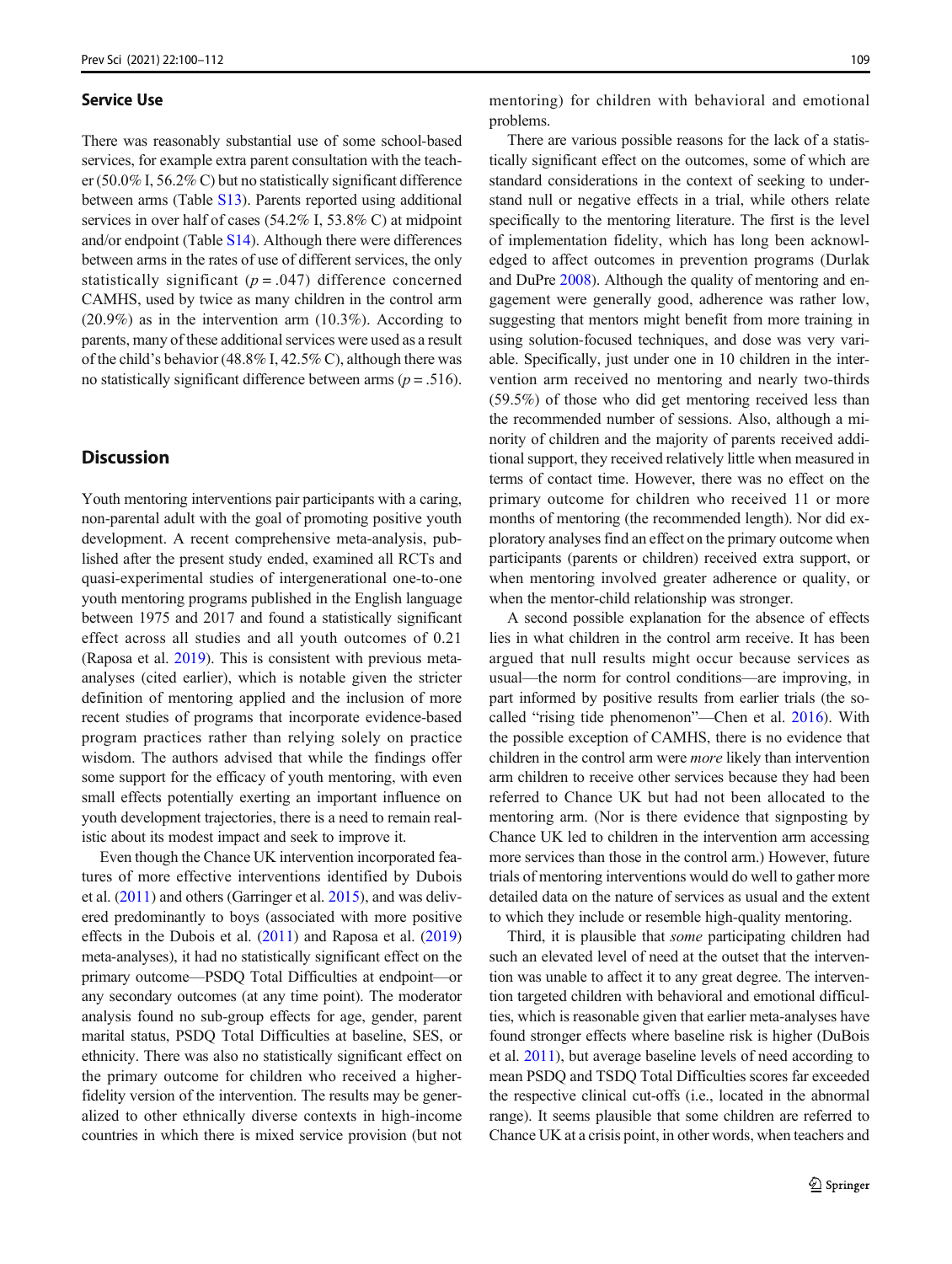#### Service Use

There was reasonably substantial use of some school-based services, for example extra parent consultation with the teacher (50.0% I, 56.2% C) but no statistically significant difference between arms (Table S13). Parents reported using additional services in over half of cases (54.2% I, 53.8% C) at midpoint and/or endpoint (Table S14). Although there were differences between arms in the rates of use of different services, the only statistically significant ( $p = .047$ ) difference concerned CAMHS, used by twice as many children in the control arm  $(20.9\%)$  as in the intervention arm  $(10.3\%)$ . According to parents, many of these additional services were used as a result of the child's behavior (48.8% I, 42.5% C), although there was no statistically significant difference between arms ( $p = .516$ ).

## **Discussion**

Youth mentoring interventions pair participants with a caring, non-parental adult with the goal of promoting positive youth development. A recent comprehensive meta-analysis, published after the present study ended, examined all RCTs and quasi-experimental studies of intergenerational one-to-one youth mentoring programs published in the English language between 1975 and 2017 and found a statistically significant effect across all studies and all youth outcomes of 0.21 (Raposa et al. [2019\)](#page-12-0). This is consistent with previous metaanalyses (cited earlier), which is notable given the stricter definition of mentoring applied and the inclusion of more recent studies of programs that incorporate evidence-based program practices rather than relying solely on practice wisdom. The authors advised that while the findings offer some support for the efficacy of youth mentoring, with even small effects potentially exerting an important influence on youth development trajectories, there is a need to remain realistic about its modest impact and seek to improve it.

Even though the Chance UK intervention incorporated features of more effective interventions identified by Dubois et al. ([2011](#page-11-0)) and others (Garringer et al. [2015](#page-11-0)), and was delivered predominantly to boys (associated with more positive effects in the Dubois et al. [\(2011\)](#page-11-0) and Raposa et al. [\(2019\)](#page-12-0) meta-analyses), it had no statistically significant effect on the primary outcome—PSDQ Total Difficulties at endpoint—or any secondary outcomes (at any time point). The moderator analysis found no sub-group effects for age, gender, parent marital status, PSDQ Total Difficulties at baseline, SES, or ethnicity. There was also no statistically significant effect on the primary outcome for children who received a higherfidelity version of the intervention. The results may be generalized to other ethnically diverse contexts in high-income countries in which there is mixed service provision (but not mentoring) for children with behavioral and emotional problems.

There are various possible reasons for the lack of a statistically significant effect on the outcomes, some of which are standard considerations in the context of seeking to understand null or negative effects in a trial, while others relate specifically to the mentoring literature. The first is the level of implementation fidelity, which has long been acknowledged to affect outcomes in prevention programs (Durlak and DuPre [2008](#page-11-0)). Although the quality of mentoring and engagement were generally good, adherence was rather low, suggesting that mentors might benefit from more training in using solution-focused techniques, and dose was very variable. Specifically, just under one in 10 children in the intervention arm received no mentoring and nearly two-thirds (59.5%) of those who did get mentoring received less than the recommended number of sessions. Also, although a minority of children and the majority of parents received additional support, they received relatively little when measured in terms of contact time. However, there was no effect on the primary outcome for children who received 11 or more months of mentoring (the recommended length). Nor did exploratory analyses find an effect on the primary outcome when participants (parents or children) received extra support, or when mentoring involved greater adherence or quality, or when the mentor-child relationship was stronger.

A second possible explanation for the absence of effects lies in what children in the control arm receive. It has been argued that null results might occur because services as usual—the norm for control conditions—are improving, in part informed by positive results from earlier trials (the socalled "rising tide phenomenon"—Chen et al. [2016](#page-11-0)). With the possible exception of CAMHS, there is no evidence that children in the control arm were more likely than intervention arm children to receive other services because they had been referred to Chance UK but had not been allocated to the mentoring arm. (Nor is there evidence that signposting by Chance UK led to children in the intervention arm accessing more services than those in the control arm.) However, future trials of mentoring interventions would do well to gather more detailed data on the nature of services as usual and the extent to which they include or resemble high-quality mentoring.

Third, it is plausible that some participating children had such an elevated level of need at the outset that the intervention was unable to affect it to any great degree. The intervention targeted children with behavioral and emotional difficulties, which is reasonable given that earlier meta-analyses have found stronger effects where baseline risk is higher (DuBois et al. [2011\)](#page-11-0), but average baseline levels of need according to mean PSDQ and TSDQ Total Difficulties scores far exceeded the respective clinical cut-offs (i.e., located in the abnormal range). It seems plausible that some children are referred to Chance UK at a crisis point, in other words, when teachers and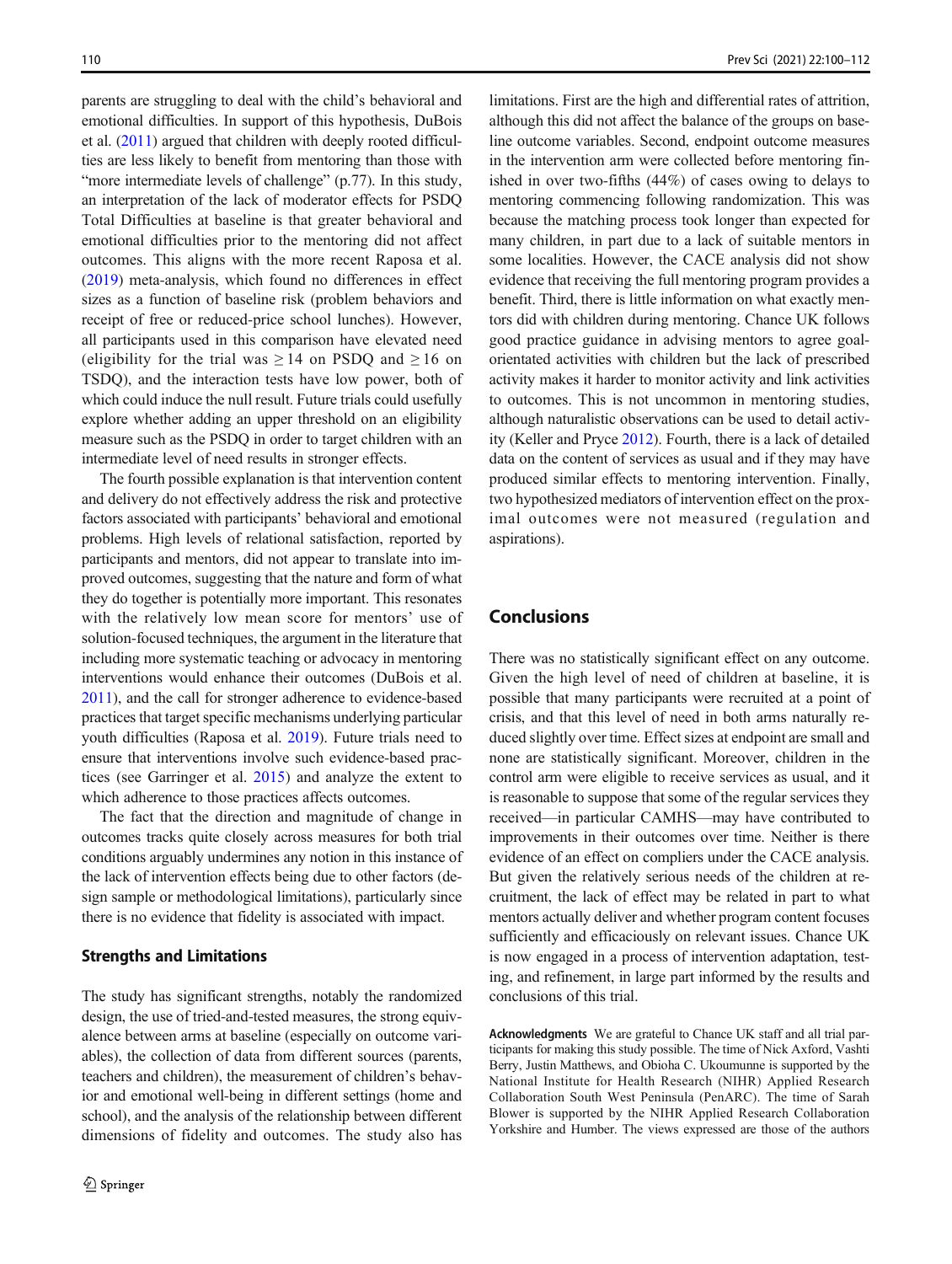parents are struggling to deal with the child's behavioral and emotional difficulties. In support of this hypothesis, DuBois et al. ([2011](#page-11-0)) argued that children with deeply rooted difficulties are less likely to benefit from mentoring than those with "more intermediate levels of challenge" (p.77). In this study, an interpretation of the lack of moderator effects for PSDQ Total Difficulties at baseline is that greater behavioral and emotional difficulties prior to the mentoring did not affect outcomes. This aligns with the more recent Raposa et al. [\(2019\)](#page-12-0) meta-analysis, which found no differences in effect sizes as a function of baseline risk (problem behaviors and receipt of free or reduced-price school lunches). However, all participants used in this comparison have elevated need (eligibility for the trial was  $\geq 14$  on PSDQ and  $\geq 16$  on TSDQ), and the interaction tests have low power, both of which could induce the null result. Future trials could usefully explore whether adding an upper threshold on an eligibility measure such as the PSDQ in order to target children with an intermediate level of need results in stronger effects.

The fourth possible explanation is that intervention content and delivery do not effectively address the risk and protective factors associated with participants' behavioral and emotional problems. High levels of relational satisfaction, reported by participants and mentors, did not appear to translate into improved outcomes, suggesting that the nature and form of what they do together is potentially more important. This resonates with the relatively low mean score for mentors' use of solution-focused techniques, the argument in the literature that including more systematic teaching or advocacy in mentoring interventions would enhance their outcomes (DuBois et al. [2011\)](#page-11-0), and the call for stronger adherence to evidence-based practices that target specific mechanisms underlying particular youth difficulties (Raposa et al. [2019\)](#page-12-0). Future trials need to ensure that interventions involve such evidence-based practices (see Garringer et al. [2015\)](#page-11-0) and analyze the extent to which adherence to those practices affects outcomes.

The fact that the direction and magnitude of change in outcomes tracks quite closely across measures for both trial conditions arguably undermines any notion in this instance of the lack of intervention effects being due to other factors (design sample or methodological limitations), particularly since there is no evidence that fidelity is associated with impact.

#### Strengths and Limitations

The study has significant strengths, notably the randomized design, the use of tried-and-tested measures, the strong equivalence between arms at baseline (especially on outcome variables), the collection of data from different sources (parents, teachers and children), the measurement of children's behavior and emotional well-being in different settings (home and school), and the analysis of the relationship between different dimensions of fidelity and outcomes. The study also has

limitations. First are the high and differential rates of attrition, although this did not affect the balance of the groups on baseline outcome variables. Second, endpoint outcome measures in the intervention arm were collected before mentoring finished in over two-fifths (44%) of cases owing to delays to mentoring commencing following randomization. This was because the matching process took longer than expected for many children, in part due to a lack of suitable mentors in some localities. However, the CACE analysis did not show evidence that receiving the full mentoring program provides a benefit. Third, there is little information on what exactly mentors did with children during mentoring. Chance UK follows good practice guidance in advising mentors to agree goalorientated activities with children but the lack of prescribed activity makes it harder to monitor activity and link activities to outcomes. This is not uncommon in mentoring studies, although naturalistic observations can be used to detail activity (Keller and Pryce [2012\)](#page-12-0). Fourth, there is a lack of detailed data on the content of services as usual and if they may have produced similar effects to mentoring intervention. Finally, two hypothesized mediators of intervention effect on the proximal outcomes were not measured (regulation and aspirations).

# Conclusions

There was no statistically significant effect on any outcome. Given the high level of need of children at baseline, it is possible that many participants were recruited at a point of crisis, and that this level of need in both arms naturally reduced slightly over time. Effect sizes at endpoint are small and none are statistically significant. Moreover, children in the control arm were eligible to receive services as usual, and it is reasonable to suppose that some of the regular services they received—in particular CAMHS—may have contributed to improvements in their outcomes over time. Neither is there evidence of an effect on compliers under the CACE analysis. But given the relatively serious needs of the children at recruitment, the lack of effect may be related in part to what mentors actually deliver and whether program content focuses sufficiently and efficaciously on relevant issues. Chance UK is now engaged in a process of intervention adaptation, testing, and refinement, in large part informed by the results and conclusions of this trial.

Acknowledgments We are grateful to Chance UK staff and all trial participants for making this study possible. The time of Nick Axford, Vashti Berry, Justin Matthews, and Obioha C. Ukoumunne is supported by the National Institute for Health Research (NIHR) Applied Research Collaboration South West Peninsula (PenARC). The time of Sarah Blower is supported by the NIHR Applied Research Collaboration Yorkshire and Humber. The views expressed are those of the authors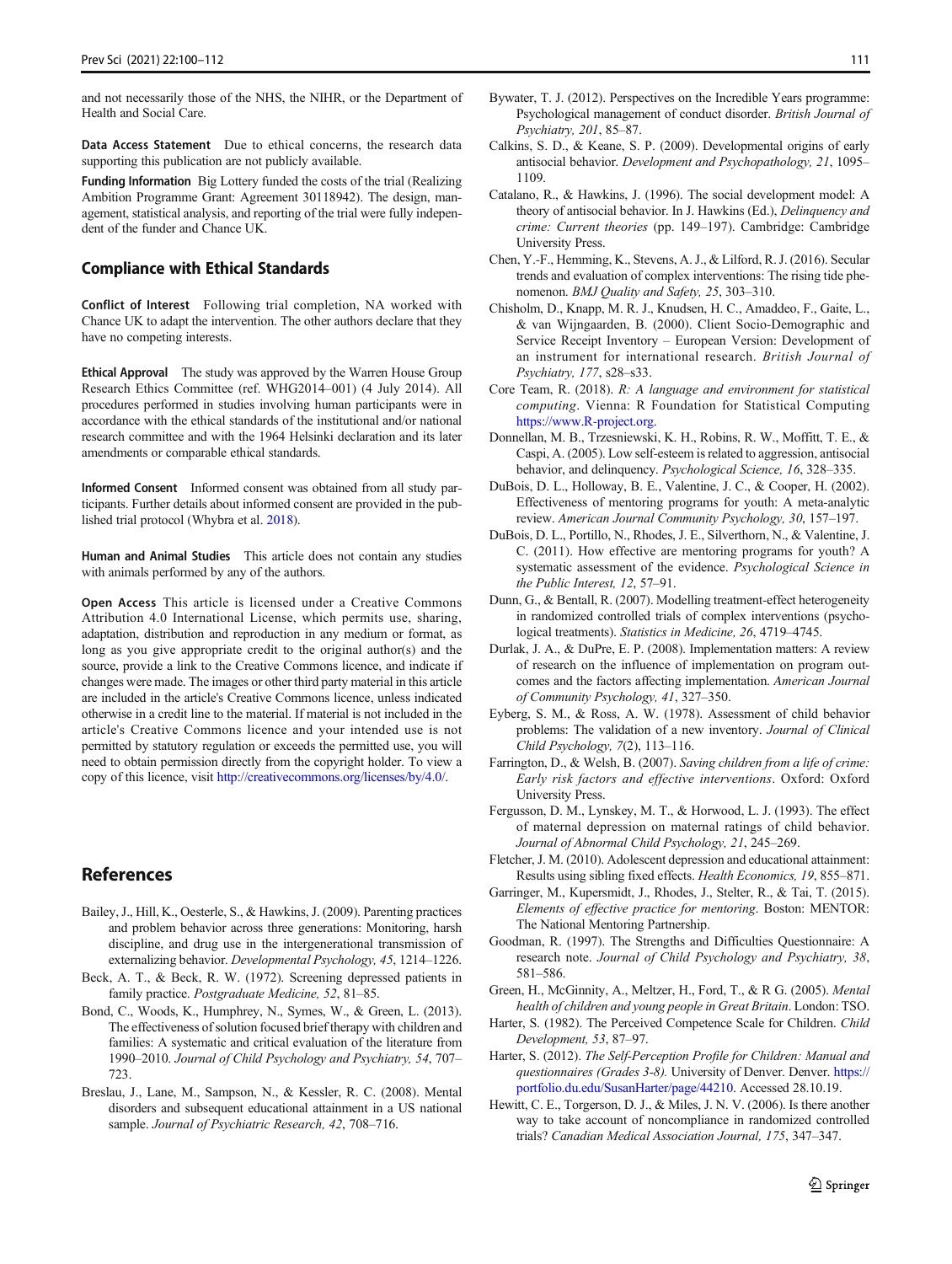<span id="page-11-0"></span>and not necessarily those of the NHS, the NIHR, or the Department of Health and Social Care.

Data Access Statement Due to ethical concerns, the research data supporting this publication are not publicly available.

Funding Information Big Lottery funded the costs of the trial (Realizing Ambition Programme Grant: Agreement 30118942). The design, management, statistical analysis, and reporting of the trial were fully independent of the funder and Chance UK.

#### Compliance with Ethical Standards

Conflict of Interest Following trial completion, NA worked with Chance UK to adapt the intervention. The other authors declare that they have no competing interests.

Ethical Approval The study was approved by the Warren House Group Research Ethics Committee (ref. WHG2014–001) (4 July 2014). All procedures performed in studies involving human participants were in accordance with the ethical standards of the institutional and/or national research committee and with the 1964 Helsinki declaration and its later amendments or comparable ethical standards.

Informed Consent Informed consent was obtained from all study participants. Further details about informed consent are provided in the published trial protocol (Whybra et al. [2018](#page-12-0)).

Human and Animal Studies This article does not contain any studies with animals performed by any of the authors.

Open Access This article is licensed under a Creative Commons Attribution 4.0 International License, which permits use, sharing, adaptation, distribution and reproduction in any medium or format, as long as you give appropriate credit to the original author(s) and the source, provide a link to the Creative Commons licence, and indicate if changes were made. The images or other third party material in this article are included in the article's Creative Commons licence, unless indicated otherwise in a credit line to the material. If material is not included in the article's Creative Commons licence and your intended use is not permitted by statutory regulation or exceeds the permitted use, you will need to obtain permission directly from the copyright holder. To view a copy of this licence, visit [http://creativecommons.org/licenses/by/4.0/.](http://creativecommons.org/licenses/by/4.0/)

# References

- Bailey, J., Hill, K., Oesterle, S., & Hawkins, J. (2009). Parenting practices and problem behavior across three generations: Monitoring, harsh discipline, and drug use in the intergenerational transmission of externalizing behavior. Developmental Psychology, 45, 1214–1226.
- Beck, A. T., & Beck, R. W. (1972). Screening depressed patients in family practice. Postgraduate Medicine, 52, 81–85.
- Bond, C., Woods, K., Humphrey, N., Symes, W., & Green, L. (2013). The effectiveness of solution focused brief therapy with children and families: A systematic and critical evaluation of the literature from 1990–2010. Journal of Child Psychology and Psychiatry, 54, 707– 723.
- Breslau, J., Lane, M., Sampson, N., & Kessler, R. C. (2008). Mental disorders and subsequent educational attainment in a US national sample. Journal of Psychiatric Research, 42, 708-716.
- Bywater, T. J. (2012). Perspectives on the Incredible Years programme: Psychological management of conduct disorder. British Journal of Psychiatry, 201, 85–87.
- Calkins, S. D., & Keane, S. P. (2009). Developmental origins of early antisocial behavior. Development and Psychopathology, 21, 1095– 1109.
- Catalano, R., & Hawkins, J. (1996). The social development model: A theory of antisocial behavior. In J. Hawkins (Ed.), Delinquency and crime: Current theories (pp. 149–197). Cambridge: Cambridge University Press.
- Chen, Y.-F., Hemming, K., Stevens, A. J., & Lilford, R. J. (2016). Secular trends and evaluation of complex interventions: The rising tide phenomenon. BMJ Quality and Safety, 25, 303-310.
- Chisholm, D., Knapp, M. R. J., Knudsen, H. C., Amaddeo, F., Gaite, L., & van Wijngaarden, B. (2000). Client Socio-Demographic and Service Receipt Inventory – European Version: Development of an instrument for international research. British Journal of Psychiatry, 177, s28–s33.
- Core Team, R. (2018). R: A language and environment for statistical computing. Vienna: R Foundation for Statistical Computing [https://www.R-project.org](http://creativecommons.org/licenses/by/4.0/).
- Donnellan, M. B., Trzesniewski, K. H., Robins, R. W., Moffitt, T. E., & Caspi, A. (2005). Low self-esteem is related to aggression, antisocial behavior, and delinquency. Psychological Science, 16, 328–335.
- DuBois, D. L., Holloway, B. E., Valentine, J. C., & Cooper, H. (2002). Effectiveness of mentoring programs for youth: A meta-analytic review. American Journal Community Psychology, 30, 157–197.
- DuBois, D. L., Portillo, N., Rhodes, J. E., Silverthorn, N., & Valentine, J. C. (2011). How effective are mentoring programs for youth? A systematic assessment of the evidence. Psychological Science in the Public Interest, 12, 57–91.
- Dunn, G., & Bentall, R. (2007). Modelling treatment-effect heterogeneity in randomized controlled trials of complex interventions (psychological treatments). Statistics in Medicine, 26, 4719–4745.
- Durlak, J. A., & DuPre, E. P. (2008). Implementation matters: A review of research on the influence of implementation on program outcomes and the factors affecting implementation. American Journal of Community Psychology, 41, 327–350.
- Eyberg, S. M., & Ross, A. W. (1978). Assessment of child behavior problems: The validation of a new inventory. Journal of Clinical Child Psychology, 7(2), 113–116.
- Farrington, D., & Welsh, B. (2007). Saving children from a life of crime: Early risk factors and effective interventions. Oxford: Oxford University Press.
- Fergusson, D. M., Lynskey, M. T., & Horwood, L. J. (1993). The effect of maternal depression on maternal ratings of child behavior. Journal of Abnormal Child Psychology, 21, 245–269.
- Fletcher, J. M. (2010). Adolescent depression and educational attainment: Results using sibling fixed effects. Health Economics, 19, 855–871.
- Garringer, M., Kupersmidt, J., Rhodes, J., Stelter, R., & Tai, T. (2015). Elements of effective practice for mentoring. Boston: MENTOR: The National Mentoring Partnership.
- Goodman, R. (1997). The Strengths and Difficulties Questionnaire: A research note. Journal of Child Psychology and Psychiatry, 38, 581–586.
- Green, H., McGinnity, A., Meltzer, H., Ford, T., & R G. (2005). Mental health of children and young people in Great Britain. London: TSO.
- Harter, S. (1982). The Perceived Competence Scale for Children. Child Development, 53, 87–97.
- Harter, S. (2012). The Self-Perception Profile for Children: Manual and questionnaires (Grades 3-8). University of Denver. Denver. [https://](http://creativecommons.org/licenses/by/4.0/) [portfolio.du.edu/SusanHarter/page/44210.](http://creativecommons.org/licenses/by/4.0/) Accessed 28.10.19.
- Hewitt, C. E., Torgerson, D. J., & Miles, J. N. V. (2006). Is there another way to take account of noncompliance in randomized controlled trials? Canadian Medical Association Journal, 175, 347–347.